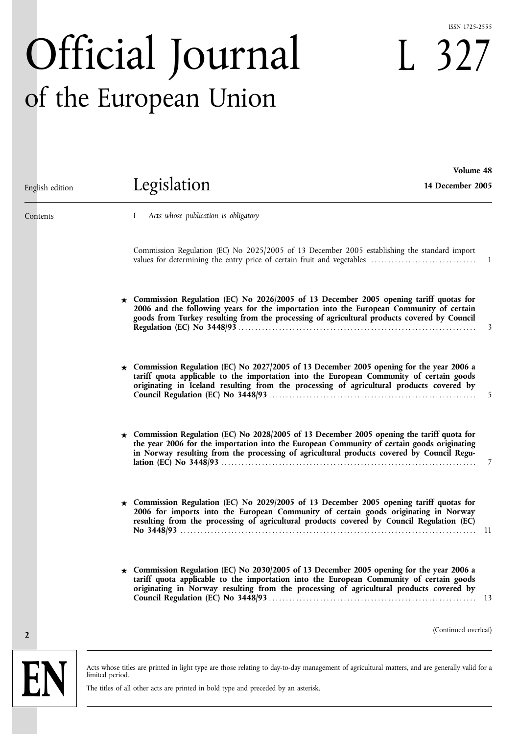#### ISSN 1725-2555

**Volume 48**

L 327

# Official Journal of the European Union

| English edition | Legislation                                                                                                                                                                                                                                                                                 | 14 December 2005     |
|-----------------|---------------------------------------------------------------------------------------------------------------------------------------------------------------------------------------------------------------------------------------------------------------------------------------------|----------------------|
| Contents        | Acts whose publication is obligatory<br>$\bf{l}$                                                                                                                                                                                                                                            |                      |
|                 | Commission Regulation (EC) No 2025/2005 of 13 December 2005 establishing the standard import                                                                                                                                                                                                |                      |
|                 | $\star$ Commission Regulation (EC) No 2026/2005 of 13 December 2005 opening tariff quotas for<br>2006 and the following years for the importation into the European Community of certain<br>goods from Turkey resulting from the processing of agricultural products covered by Council     | 3                    |
|                 | $\star$ Commission Regulation (EC) No 2027/2005 of 13 December 2005 opening for the year 2006 a<br>tariff quota applicable to the importation into the European Community of certain goods<br>originating in Iceland resulting from the processing of agricultural products covered by      | 5                    |
|                 | $\star$ Commission Regulation (EC) No 2028/2005 of 13 December 2005 opening the tariff quota for<br>the year 2006 for the importation into the European Community of certain goods originating<br>in Norway resulting from the processing of agricultural products covered by Council Regu- | 7                    |
|                 | $\star$ Commission Regulation (EC) No 2029/2005 of 13 December 2005 opening tariff quotas for<br>2006 for imports into the European Community of certain goods originating in Norway<br>resulting from the processing of agricultural products covered by Council Regulation (EC)           | - 11                 |
|                 | $\star$ Commission Regulation (EC) No 2030/2005 of 13 December 2005 opening for the year 2006 a<br>tariff quota applicable to the importation into the European Community of certain goods<br>originating in Norway resulting from the processing of agricultural products covered by       |                      |
| $\overline{2}$  |                                                                                                                                                                                                                                                                                             | (Continued overleaf) |

Acts whose titles are printed in light type are those relating to day-to-day management of agricultural matters, and are generally valid for a limited period.

The titles of all other acts are printed in bold type and preceded by an asterisk.

**EN**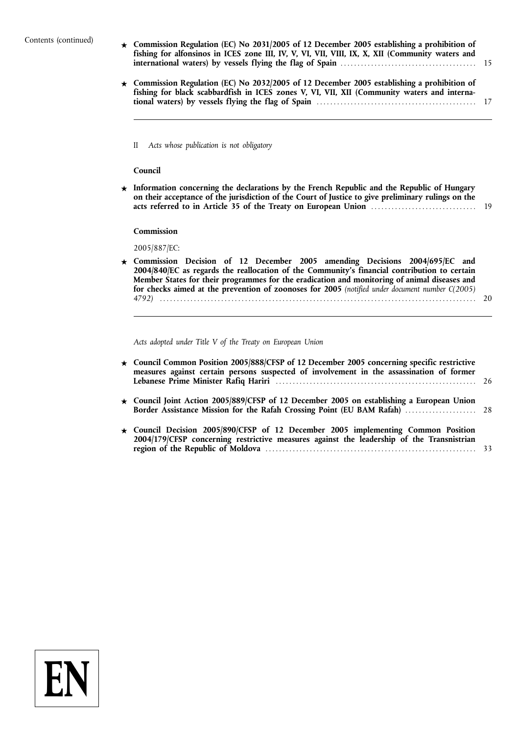#### Contents (continued)

- **★ Commission Regulation (EC) No 2031/2005 of 12 December 2005 establishing a prohibition of fishing for alfonsinos in ICES zone III, IV, V, VI, VII, VIII, IX, X, XII (Community waters and international waters) by vessels flying the flag of Spain** ........................................ 15
- **★ Commission Regulation (EC) No 2032/2005 of 12 December 2005 establishing a prohibition of fishing for black scabbardfish in ICES zones V, VI, VII, XII (Community waters and international waters) by vessels flying the flag of Spain** ............................................... 17
	- II *Acts whose publication is not obligatory*

#### **Council**

Information concerning the declarations by the French Republic and the Republic of Hungary **on their acceptance of the jurisdiction of the Court of Justice to give preliminary rulings on the acts referred to in Article 35 of the Treaty on European Union** ............................... 19

#### **Commission**

2005/887/EC:

**★ Commission Decision of 12 December 2005 amending Decisions 2004/695/EC and 2004/840/EC as regards the reallocation of the Community***'***s financial contribution to certain Member States for their programmes for the eradication and monitoring of animal diseases and for checks aimed at the prevention of zoonoses for 2005** *(notified under document number C(2005) 4792)* ............................................................................................. 20

*Acts adopted under Title V of the Treaty on European Union*

| ★ Council Common Position 2005/888/CFSP of 12 December 2005 concerning specific restrictive<br>measures against certain persons suspected of involvement in the assassination of former |  |
|-----------------------------------------------------------------------------------------------------------------------------------------------------------------------------------------|--|
| $\star$ Council Joint Action 2005/889/CFSP of 12 December 2005 on establishing a European Union                                                                                         |  |
| $\star$ Council Decision 2005/890/CFSP of 12 December 2005 implementing Common Position<br>2004/179/CFSP concerning restrictive measures against the leadership of the Transnistrian    |  |

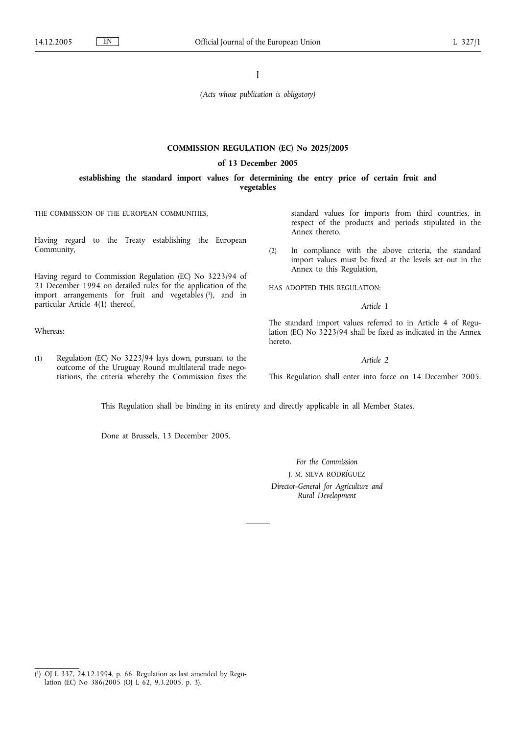I

*(Acts whose publication is obligatory)*

#### **COMMISSION REGULATION (EC) No 2025/2005**

#### **of 13 December 2005**

#### **establishing the standard import values for determining the entry price of certain fruit and vegetables**

THE COMMISSION OF THE EUROPEAN COMMUNITIES,

Having regard to the Treaty establishing the European Community,

Having regard to Commission Regulation (EC) No 3223/94 of 21 December 1994 on detailed rules for the application of the import arrangements for fruit and vegetables  $(1)$ , and in particular Article 4(1) thereof,

Whereas:

(1) Regulation (EC) No 3223/94 lays down, pursuant to the outcome of the Uruguay Round multilateral trade negotiations, the criteria whereby the Commission fixes the standard values for imports from third countries, in respect of the products and periods stipulated in the Annex thereto.

(2) In compliance with the above criteria, the standard import values must be fixed at the levels set out in the Annex to this Regulation,

HAS ADOPTED THIS REGULATION:

*Article 1*

The standard import values referred to in Article 4 of Regulation (EC) No 3223/94 shall be fixed as indicated in the Annex hereto.

*Article 2*

This Regulation shall enter into force on 14 December 2005.

This Regulation shall be binding in its entirety and directly applicable in all Member States.

Done at Brussels, 13 December 2005.

*For the Commission* J. M. SILVA RODRÍGUEZ *Director-General for Agriculture and Rural Development*

 $(1)$ 1) OJ L 337, 24.12.1994, p. 66. Regulation as last amended by Regulation (EC) No 386/2005 (OJ L 62, 9.3.2005, p. 3).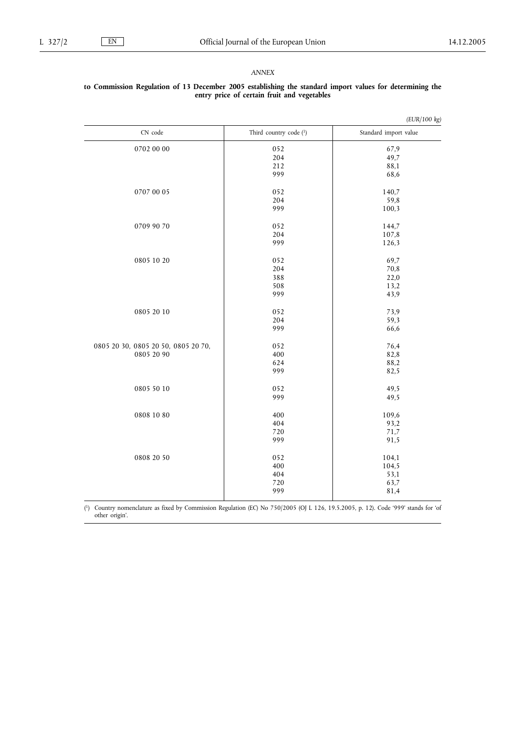## *(EUR/100 kg)* CN code Third country code (1) Standard import value  $0702\ 00\ 00$   $052$   $052$   $07,9$   $0702\ 00\ 00$   $07,9$  $\begin{array}{c|c} 204 & 49.7 \\ 212 & 88.1 \end{array}$ 212 88,1<br>999 68,6 68,6  $0707\ 00\ 05$   $052$   $140,7$   $190,7$   $052$   $140,7$   $59,8$ 204 59,8<br>999 100,3  $100,3$  $0709\,90\,70$   $052$   $144.7$   $107.8$  $\begin{array}{c|c} 204 & 107,8 \\ 999 & 126,3 \end{array}$  $126,3$  $0805\ 10\ 20$   $052$   $052$   $09,7$ <br> $204$   $70,8$ 204 70,8<br>388 22.0  $\begin{array}{c|c} 22.0 & 22.0 \\ 508 & 13.2 \end{array}$  $\begin{array}{c|c}\n 508 & 13,2 \\
 999 & 43,9\n\end{array}$ 43,9  $0805\ 20\ 10$   $052$   $204$   $73.9$   $59.3$  $\begin{array}{c|c}\n 204 & 59,3 \\
 999 & 66,6\n\end{array}$ 66,6 0805 20 30, 0805 20 50, 0805 20 70, 0805 20 90  $\begin{array}{c|c}\n 052 & 76,4 \\
 400 & 82,8\n\end{array}$  $400$  82,8<br>624 88.2 88,2 999 82,5  $0805\,50\,10$   $052$   $49,5$ <br>999  $49,5$  $49,5$  $0808\,10\,80$   $400$   $109.6$   $93.2$  $\begin{array}{c|c}\n404 \\
720\n\end{array}$  93,2  $\begin{array}{c|c}\n720 & 71.7 \\
999 & 91.5\n\end{array}$  $91,5$  $0808\ 20\ 50$   $052$   $104.1$   $104.5$   $104.5$  $400$ <br> $404$ <br> $53,1$ 404 53,1  $720$ <br>999 63,7<br>81,4 81,4

## **to Commission Regulation of 13 December 2005 establishing the standard import values for determining the entry price of certain fruit and vegetables**

 $(1)$ 1) Country nomenclature as fixed by Commission Regulation (EC) No 750/2005 (OJ L 126, 19.5.2005, p. 12). Code '999' stands for 'of other origin'.

#### *ANNEX*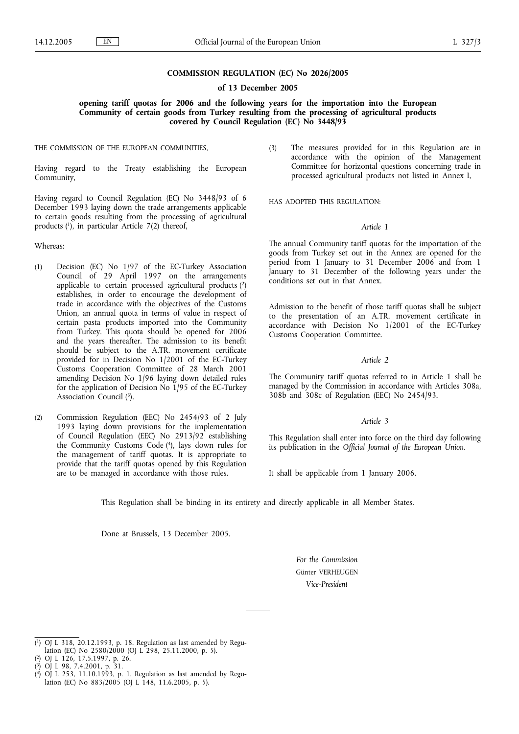#### **COMMISSION REGULATION (EC) No 2026/2005**

**of 13 December 2005**

**opening tariff quotas for 2006 and the following years for the importation into the European Community of certain goods from Turkey resulting from the processing of agricultural products covered by Council Regulation (EC) No 3448/93**

THE COMMISSION OF THE EUROPEAN COMMUNITIES,

Having regard to the Treaty establishing the European Community,

Having regard to Council Regulation (EC) No 3448/93 of 6 December 1993 laying down the trade arrangements applicable to certain goods resulting from the processing of agricultural products (1), in particular Article 7(2) thereof,

Whereas:

- (1) Decision (EC) No 1/97 of the EC-Turkey Association Council of 29 April 1997 on the arrangements applicable to certain processed agricultural products (2) establishes, in order to encourage the development of trade in accordance with the objectives of the Customs Union, an annual quota in terms of value in respect of certain pasta products imported into the Community from Turkey. This quota should be opened for 2006 and the years thereafter. The admission to its benefit should be subject to the A.TR. movement certificate provided for in Decision No 1/2001 of the EC-Turkey Customs Cooperation Committee of 28 March 2001 amending Decision No 1/96 laying down detailed rules for the application of Decision No  $1/95$  of the EC-Turkey Association Council <sup>(3)</sup>.
- (2) Commission Regulation (EEC) No 2454/93 of 2 July 1993 laying down provisions for the implementation of Council Regulation (EEC) No 2913/92 establishing the Community Customs Code (4), lays down rules for the management of tariff quotas. It is appropriate to provide that the tariff quotas opened by this Regulation are to be managed in accordance with those rules.

(3) The measures provided for in this Regulation are in accordance with the opinion of the Management Committee for horizontal questions concerning trade in processed agricultural products not listed in Annex I,

HAS ADOPTED THIS REGULATION:

#### *Article 1*

The annual Community tariff quotas for the importation of the goods from Turkey set out in the Annex are opened for the period from 1 January to 31 December 2006 and from 1 January to 31 December of the following years under the conditions set out in that Annex.

Admission to the benefit of those tariff quotas shall be subject to the presentation of an A.TR. movement certificate in accordance with Decision No 1/2001 of the EC-Turkey Customs Cooperation Committee.

#### *Article 2*

The Community tariff quotas referred to in Article 1 shall be managed by the Commission in accordance with Articles 308a, 308b and 308c of Regulation (EEC) No 2454/93.

#### *Article 3*

This Regulation shall enter into force on the third day following its publication in the *Official Journal of the European Union*.

It shall be applicable from 1 January 2006.

This Regulation shall be binding in its entirety and directly applicable in all Member States.

Done at Brussels, 13 December 2005.

*For the Commission* Günter VERHEUGEN *Vice-President*

<sup>(</sup> 1) OJ L 318, 20.12.1993, p. 18. Regulation as last amended by Regulation (EC) No 2580/2000 (OJ L 298, 25.11.2000, p. 5).

<sup>(</sup> 2) OJ L 126, 17.5.1997, p. 26.

<sup>(</sup> 3) OJ L 98, 7.4.2001, p. 31.

<sup>(</sup> 4) OJ L 253, 11.10.1993, p. 1. Regulation as last amended by Regulation (EC) No 883/2005 (OJ L 148, 11.6.2005, p. 5).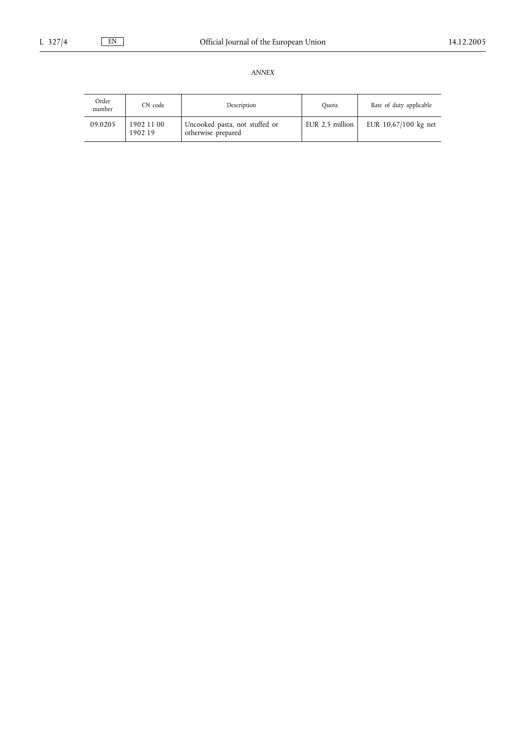| Order<br>number | CN code               | Description                                          | Ouota           | Rate of duty applicable |
|-----------------|-----------------------|------------------------------------------------------|-----------------|-------------------------|
| 09.0205         | 1902 11 00<br>1902 19 | Uncooked pasta, not stuffed or<br>otherwise prepared | EUR 2.5 million | EUR 10,67/100 kg net    |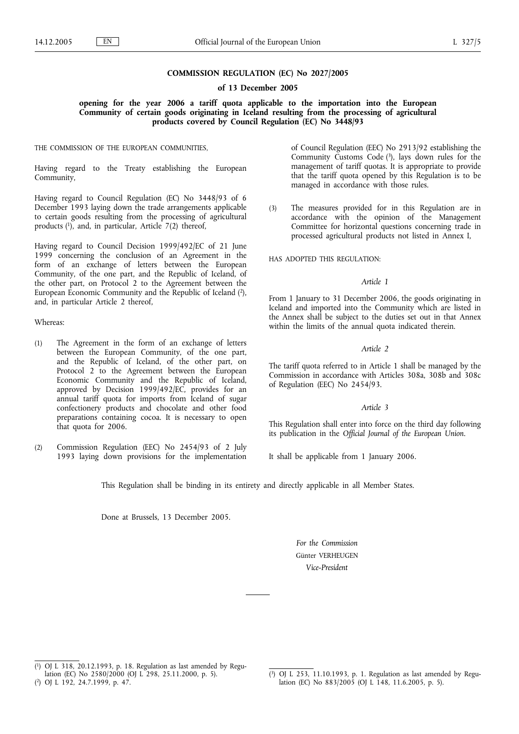#### **COMMISSION REGULATION (EC) No 2027/2005**

**of 13 December 2005**

**opening for the year 2006 a tariff quota applicable to the importation into the European Community of certain goods originating in Iceland resulting from the processing of agricultural products covered by Council Regulation (EC) No 3448/93**

THE COMMISSION OF THE EUROPEAN COMMUNITIES,

Having regard to the Treaty establishing the European Community,

Having regard to Council Regulation (EC) No 3448/93 of 6 December 1993 laying down the trade arrangements applicable to certain goods resulting from the processing of agricultural products  $(1)$ , and, in particular, Article 7(2) thereof,

Having regard to Council Decision 1999/492/EC of 21 June 1999 concerning the conclusion of an Agreement in the form of an exchange of letters between the European Community, of the one part, and the Republic of Iceland, of the other part, on Protocol 2 to the Agreement between the European Economic Community and the Republic of Iceland (2), and, in particular Article 2 thereof,

Whereas:

- (1) The Agreement in the form of an exchange of letters between the European Community, of the one part, and the Republic of Iceland, of the other part, on Protocol 2 to the Agreement between the European Economic Community and the Republic of Iceland, approved by Decision 1999/492/EC, provides for an annual tariff quota for imports from Iceland of sugar confectionery products and chocolate and other food preparations containing cocoa. It is necessary to open that quota for 2006.
- (2) Commission Regulation (EEC) No 2454/93 of 2 July 1993 laying down provisions for the implementation

of Council Regulation (EEC) No 2913/92 establishing the Community Customs Code (3), lays down rules for the management of tariff quotas. It is appropriate to provide that the tariff quota opened by this Regulation is to be managed in accordance with those rules.

(3) The measures provided for in this Regulation are in accordance with the opinion of the Management Committee for horizontal questions concerning trade in processed agricultural products not listed in Annex I,

HAS ADOPTED THIS REGULATION:

#### *Article 1*

From 1 January to 31 December 2006, the goods originating in Iceland and imported into the Community which are listed in the Annex shall be subject to the duties set out in that Annex within the limits of the annual quota indicated therein.

#### *Article 2*

The tariff quota referred to in Article 1 shall be managed by the Commission in accordance with Articles 308a, 308b and 308c of Regulation (EEC) No 2454/93.

#### *Article 3*

This Regulation shall enter into force on the third day following its publication in the *Official Journal of the European Union*.

It shall be applicable from 1 January 2006.

This Regulation shall be binding in its entirety and directly applicable in all Member States.

Done at Brussels, 13 December 2005.

*For the Commission* Günter VERHEUGEN *Vice-President*

<sup>(</sup> 1) OJ L 318, 20.12.1993, p. 18. Regulation as last amended by Regulation (EC) No 2580/2000 (OJ L 298, 25.11.2000, p. 5).

<sup>(</sup> 2) OJ L 192, 24.7.1999, p. 47.

<sup>(</sup> 3) OJ L 253, 11.10.1993, p. 1. Regulation as last amended by Regulation (EC) No 883/2005 (OJ L 148, 11.6.2005, p. 5).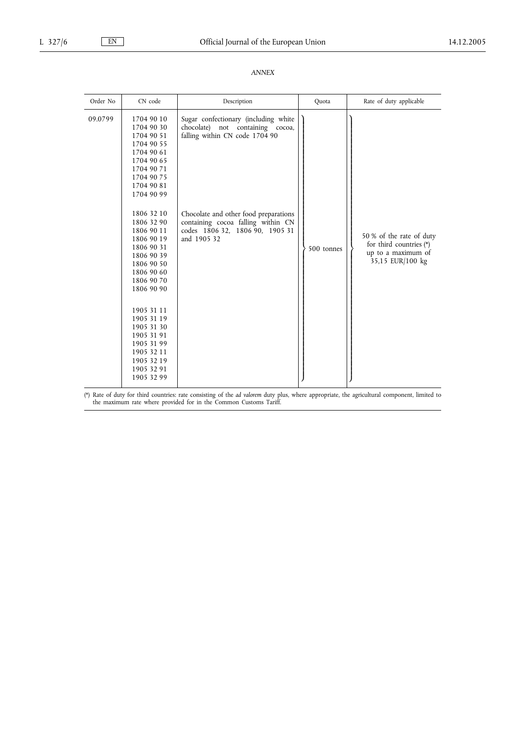| Order No | CN code                                                                                                                                                | Description                                                                                                                   | Quota      | Rate of duty applicable                                                                       |
|----------|--------------------------------------------------------------------------------------------------------------------------------------------------------|-------------------------------------------------------------------------------------------------------------------------------|------------|-----------------------------------------------------------------------------------------------|
| 09.0799  | 1704 90 10<br>1704 90 30<br>1704 90 51<br>1704 90 55<br>1704 90 61<br>1704 90 65<br>1704 90 71<br>1704 90 75<br>1704 90 81<br>1704 90 99               | Sugar confectionary (including white<br>chocolate) not containing cocoa,<br>falling within CN code 1704 90                    |            |                                                                                               |
|          | 1806 32 10<br>1806 32 90<br>1806 90 11<br>1806 90 19<br>1806 90 31<br>1806 90 39<br>1806 90 50<br>1806 90 60<br>1806 90 70<br>1806 90 90<br>1905 31 11 | Chocolate and other food preparations<br>containing cocoa falling within CN<br>codes 1806 32, 1806 90, 1905 31<br>and 1905 32 | 500 tonnes | 50 % of the rate of duty<br>for third countries (*)<br>up to a maximum of<br>35,15 EUR/100 kg |
|          | 1905 31 19<br>1905 31 30<br>1905 31 91<br>1905 31 99<br>1905 32 11<br>1905 32 19<br>1905 32 91<br>1905 32 99                                           |                                                                                                                               |            |                                                                                               |

(\*) Rate of duty for third countries: rate consisting of the *ad valorem* duty plus, where appropriate, the agricultural component, limited to the maximum rate where provided for in the Common Customs Tariff.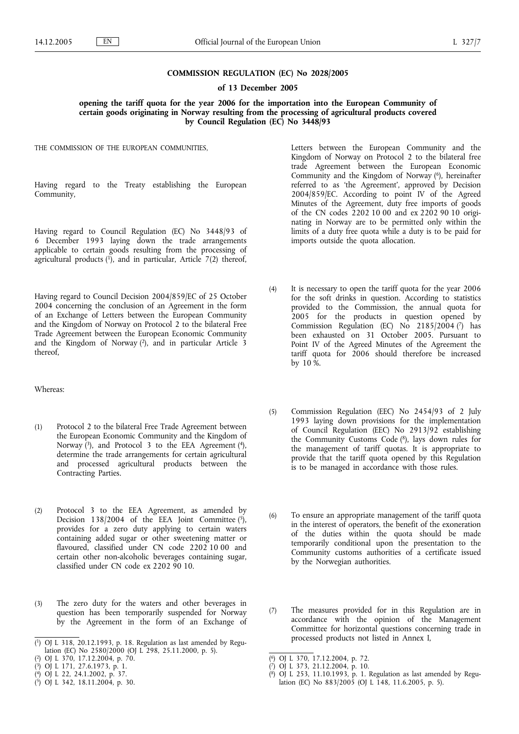#### **COMMISSION REGULATION (EC) No 2028/2005**

#### **of 13 December 2005**

**opening the tariff quota for the year 2006 for the importation into the European Community of certain goods originating in Norway resulting from the processing of agricultural products covered by Council Regulation (EC) No 3448/93**

THE COMMISSION OF THE EUROPEAN COMMUNITIES,

Having regard to the Treaty establishing the European Community,

Having regard to Council Regulation (EC) No 3448/93 of 6 December 1993 laying down the trade arrangements applicable to certain goods resulting from the processing of agricultural products  $(1)$ , and in particular, Article 7(2) thereof,

Having regard to Council Decision 2004/859/EC of 25 October 2004 concerning the conclusion of an Agreement in the form of an Exchange of Letters between the European Community and the Kingdom of Norway on Protocol 2 to the bilateral Free Trade Agreement between the European Economic Community and the Kingdom of Norway (2), and in particular Article 3 thereof,

Whereas:

- (1) Protocol 2 to the bilateral Free Trade Agreement between the European Economic Community and the Kingdom of Norway  $(3)$ , and Protocol 3 to the EEA Agreement  $(4)$ , determine the trade arrangements for certain agricultural and processed agricultural products between the Contracting Parties.
- (2) Protocol 3 to the EEA Agreement, as amended by Decision 138/2004 of the EEA Joint Committee  $(5)$ , provides for a zero duty applying to certain waters containing added sugar or other sweetening matter or flavoured, classified under CN code 2202 10 00 and certain other non-alcoholic beverages containing sugar, classified under CN code ex 2202 90 10.
- (3) The zero duty for the waters and other beverages in question has been temporarily suspended for Norway by the Agreement in the form of an Exchange of

- ( 4) OJ L 22, 24.1.2002, p. 37.
- ( 5) OJ L 342, 18.11.2004, p. 30.

Letters between the European Community and the Kingdom of Norway on Protocol 2 to the bilateral free trade Agreement between the European Economic Community and the Kingdom of Norway  $(6)$ , hereinafter referred to as 'the Agreement', approved by Decision 2004/859/EC. According to point IV of the Agreed Minutes of the Agreement, duty free imports of goods of the CN codes 2202 10 00 and ex 2202 90 10 originating in Norway are to be permitted only within the limits of a duty free quota while a duty is to be paid for imports outside the quota allocation.

- (4) It is necessary to open the tariff quota for the year 2006 for the soft drinks in question. According to statistics provided to the Commission, the annual quota for 2005 for the products in question opened by Commission Regulation (EC) No  $2185/2004$  (7) has been exhausted on 31 October 2005. Pursuant to Point IV of the Agreed Minutes of the Agreement the tariff quota for 2006 should therefore be increased by 10 %.
- (5) Commission Regulation (EEC) No 2454/93 of 2 July 1993 laying down provisions for the implementation of Council Regulation (EEC) No 2913/92 establishing the Community Customs Code (8), lays down rules for the management of tariff quotas. It is appropriate to provide that the tariff quota opened by this Regulation is to be managed in accordance with those rules.
- (6) To ensure an appropriate management of the tariff quota in the interest of operators, the benefit of the exoneration of the duties within the quota should be made temporarily conditional upon the presentation to the Community customs authorities of a certificate issued by the Norwegian authorities.
- (7) The measures provided for in this Regulation are in accordance with the opinion of the Management Committee for horizontal questions concerning trade in processed products not listed in Annex I,

<sup>(</sup> 1) OJ L 318, 20.12.1993, p. 18. Regulation as last amended by Regulation (EC) No 2580/2000 (OJ L 298, 25.11.2000, p. 5).

<sup>(</sup> 2) OJ L 370, 17.12.2004, p. 70.

<sup>(</sup> 3) OJ L 171, 27.6.1973, p. 1.

<sup>(</sup> 6) OJ L 370, 17.12.2004, p. 72.

<sup>(</sup> 7) OJ L 373, 21.12.2004, p. 10.

<sup>(</sup> 8) OJ L 253, 11.10.1993, p. 1. Regulation as last amended by Regulation (EC) No 883/2005 (OJ L 148, 11.6.2005, p. 5).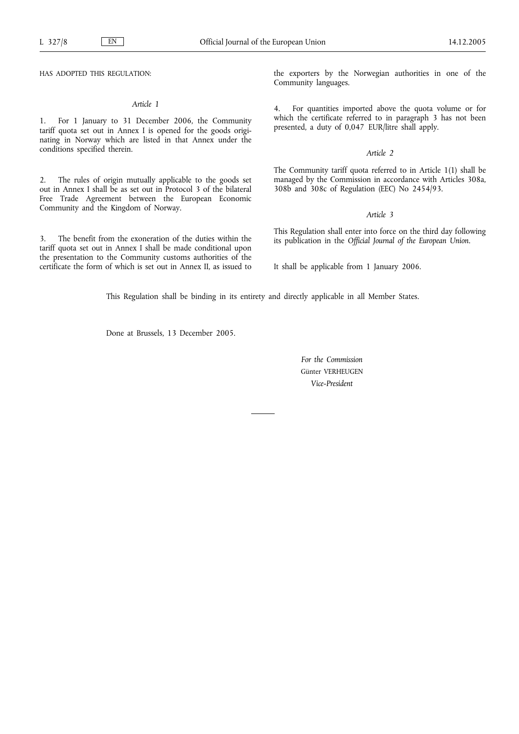HAS ADOPTED THIS REGULATION:

#### *Article 1*

1. For 1 January to 31 December 2006, the Community tariff quota set out in Annex I is opened for the goods originating in Norway which are listed in that Annex under the conditions specified therein.

2. The rules of origin mutually applicable to the goods set out in Annex I shall be as set out in Protocol 3 of the bilateral Free Trade Agreement between the European Economic Community and the Kingdom of Norway.

3. The benefit from the exoneration of the duties within the tariff quota set out in Annex I shall be made conditional upon the presentation to the Community customs authorities of the certificate the form of which is set out in Annex II, as issued to the exporters by the Norwegian authorities in one of the Community languages.

4. For quantities imported above the quota volume or for which the certificate referred to in paragraph 3 has not been presented, a duty of 0,047 EUR/litre shall apply.

#### *Article 2*

The Community tariff quota referred to in Article 1(1) shall be managed by the Commission in accordance with Articles 308a, 308b and 308c of Regulation (EEC) No 2454/93.

#### *Article 3*

This Regulation shall enter into force on the third day following its publication in the *Official Journal of the European Union*.

It shall be applicable from 1 January 2006.

This Regulation shall be binding in its entirety and directly applicable in all Member States.

Done at Brussels, 13 December 2005.

*For the Commission* Günter VERHEUGEN *Vice-President*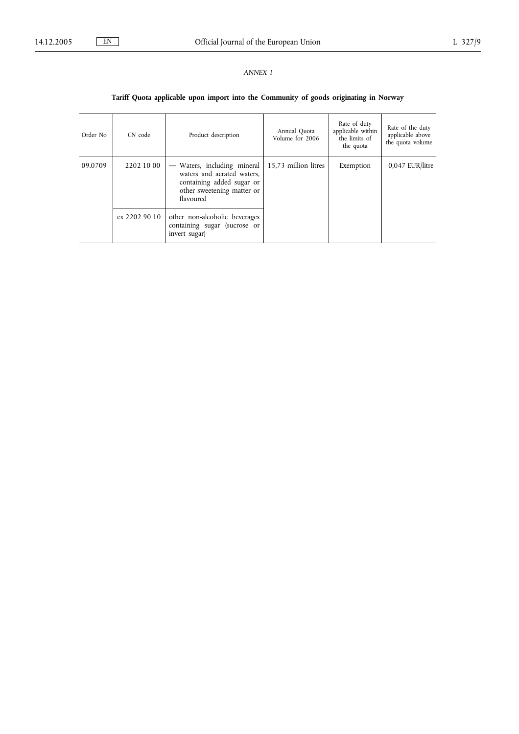## *ANNEX I*

## **Tariff Quota applicable upon import into the Community of goods originating in Norway**

| Order No | CN code       | Product description                                                                                                                                                | Annual Quota<br>Volume for 2006 | Rate of duty<br>applicable within<br>the limits of<br>the quota | Rate of the duty<br>applicable above<br>the quota volume |
|----------|---------------|--------------------------------------------------------------------------------------------------------------------------------------------------------------------|---------------------------------|-----------------------------------------------------------------|----------------------------------------------------------|
| 09.0709  | 2202 10 00    | Waters, including mineral<br>$\hspace{0.1mm}-\hspace{0.1mm}$<br>waters and aerated waters,<br>containing added sugar or<br>other sweetening matter or<br>flavoured | 15,73 million litres            | Exemption                                                       | $0.047$ EUR/litre                                        |
|          | ex 2202 90 10 | other non-alcoholic beverages<br>containing sugar (sucrose or<br>invert sugar)                                                                                     |                                 |                                                                 |                                                          |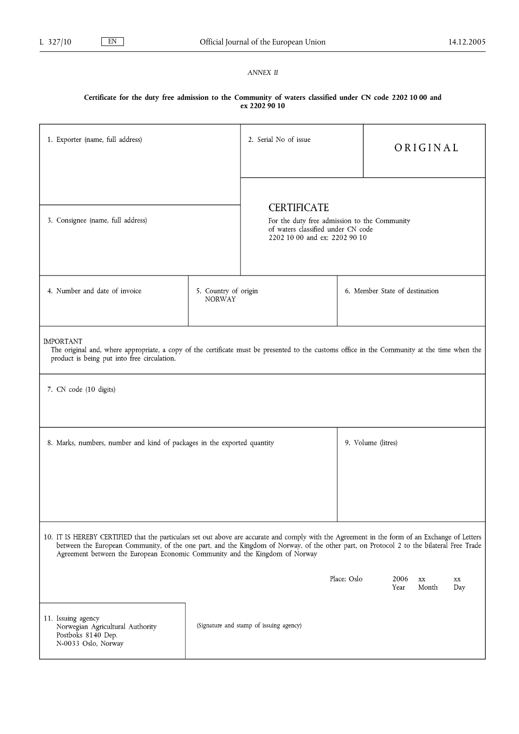## *ANNEX II*

## **Certificate for the duty free admission to the Community of waters classified under CN code 2202 10 00 and ex 2202 90 10**

| 1. Exporter (name, full address)                                                                                                                                                                                                                                                                                                                                          |                                       | 2. Serial No of issue<br>ORIGINAL                                                                                                         |             |                                |                                  |           |
|---------------------------------------------------------------------------------------------------------------------------------------------------------------------------------------------------------------------------------------------------------------------------------------------------------------------------------------------------------------------------|---------------------------------------|-------------------------------------------------------------------------------------------------------------------------------------------|-------------|--------------------------------|----------------------------------|-----------|
| 3. Consignee (name, full address)                                                                                                                                                                                                                                                                                                                                         |                                       | <b>CERTIFICATE</b><br>For the duty free admission to the Community<br>of waters classified under CN code<br>2202 10 00 and ex: 2202 90 10 |             |                                |                                  |           |
| 4. Number and date of invoice                                                                                                                                                                                                                                                                                                                                             | 5. Country of origin<br><b>NORWAY</b> |                                                                                                                                           |             | 6. Member State of destination |                                  |           |
| <b>IMPORTANT</b><br>The original and, where appropriate, a copy of the certificate must be presented to the customs office in the Community at the time when the<br>product is being put into free circulation.                                                                                                                                                           |                                       |                                                                                                                                           |             |                                |                                  |           |
| 7. CN code (10 digits)                                                                                                                                                                                                                                                                                                                                                    |                                       |                                                                                                                                           |             |                                |                                  |           |
| 8. Marks, numbers, number and kind of packages in the exported quantity                                                                                                                                                                                                                                                                                                   |                                       |                                                                                                                                           |             | 9. Volume (litres)             |                                  |           |
| 10. IT IS HEREBY CERTIFIED that the particulars set out above are accurate and comply with the Agreement in the form of an Exchange of Letters<br>between the European Community, of the one part, and the Kingdom of Norway, of the other part, on Protocol 2 to the bilateral Free Trade<br>Agreement between the European Economic Community and the Kingdom of Norway |                                       |                                                                                                                                           |             |                                |                                  |           |
|                                                                                                                                                                                                                                                                                                                                                                           |                                       |                                                                                                                                           | Place: Oslo | 2006<br>Year                   | $\mathbf{X} \mathbf{X}$<br>Month | XX<br>Day |
| 11. Issuing agency<br>Norwegian Agricultural Authority<br>Postboks 8140 Dep.<br>N-0033 Oslo, Norway                                                                                                                                                                                                                                                                       |                                       | (Signature and stamp of issuing agency)                                                                                                   |             |                                |                                  |           |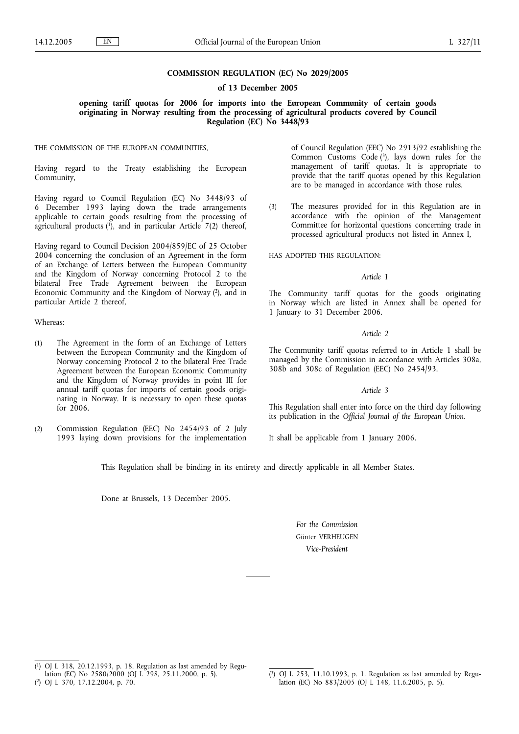#### **COMMISSION REGULATION (EC) No 2029/2005**

**of 13 December 2005**

**opening tariff quotas for 2006 for imports into the European Community of certain goods originating in Norway resulting from the processing of agricultural products covered by Council Regulation (EC) No 3448/93**

THE COMMISSION OF THE EUROPEAN COMMUNITIES,

Having regard to the Treaty establishing the European Community,

Having regard to Council Regulation (EC) No 3448/93 of 6 December 1993 laying down the trade arrangements applicable to certain goods resulting from the processing of agricultural products  $(1)$ , and in particular Article  $7(2)$  thereof,

Having regard to Council Decision 2004/859/EC of 25 October 2004 concerning the conclusion of an Agreement in the form of an Exchange of Letters between the European Community and the Kingdom of Norway concerning Protocol 2 to the bilateral Free Trade Agreement between the European Economic Community and the Kingdom of Norway (2), and in particular Article 2 thereof,

Whereas:

- (1) The Agreement in the form of an Exchange of Letters between the European Community and the Kingdom of Norway concerning Protocol 2 to the bilateral Free Trade Agreement between the European Economic Community and the Kingdom of Norway provides in point III for annual tariff quotas for imports of certain goods originating in Norway. It is necessary to open these quotas for 2006.
- (2) Commission Regulation (EEC) No 2454/93 of 2 July 1993 laying down provisions for the implementation

of Council Regulation (EEC) No 2913/92 establishing the Common Customs Code  $(3)$ , lays down rules for the management of tariff quotas. It is appropriate to provide that the tariff quotas opened by this Regulation are to be managed in accordance with those rules.

(3) The measures provided for in this Regulation are in accordance with the opinion of the Management Committee for horizontal questions concerning trade in processed agricultural products not listed in Annex I,

HAS ADOPTED THIS REGULATION:

#### *Article 1*

The Community tariff quotas for the goods originating in Norway which are listed in Annex shall be opened for 1 January to 31 December 2006.

#### *Article 2*

The Community tariff quotas referred to in Article 1 shall be managed by the Commission in accordance with Articles 308a, 308b and 308c of Regulation (EEC) No 2454/93.

#### *Article 3*

This Regulation shall enter into force on the third day following its publication in the *Official Journal of the European Union*.

It shall be applicable from 1 January 2006.

This Regulation shall be binding in its entirety and directly applicable in all Member States.

Done at Brussels, 13 December 2005.

*For the Commission* Günter VERHEUGEN *Vice-President*

<sup>(</sup> 1) OJ L 318, 20.12.1993, p. 18. Regulation as last amended by Regulation (EC) No 2580/2000 (OJ L 298, 25.11.2000, p. 5).

<sup>(</sup> 2) OJ L 370, 17.12.2004, p. 70.

<sup>(</sup> 3) OJ L 253, 11.10.1993, p. 1. Regulation as last amended by Regulation (EC) No 883/2005 (OJ L 148, 11.6.2005, p. 5).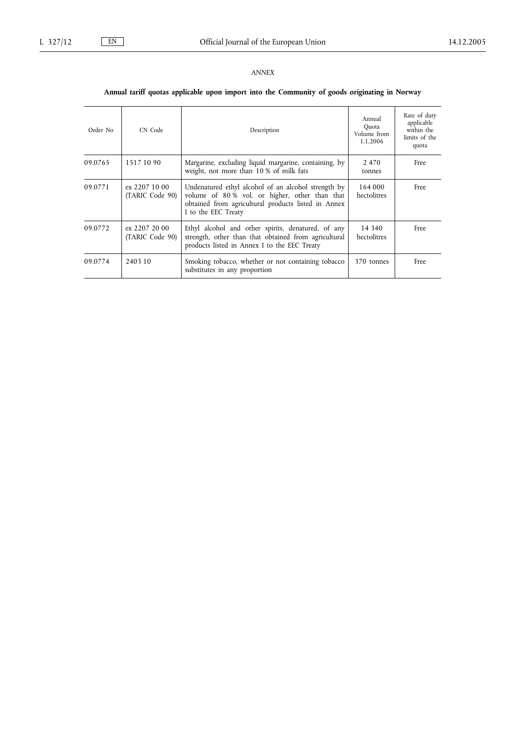## **Annual tariff quotas applicable upon import into the Community of goods originating in Norway**

| Order No | CN Code                          | Description                                                                                                                                                                        | Annual<br>Quota<br>Volume from<br>1.1.2006 | Rate of duty<br>applicable<br>within the<br>limits of the<br>quota |
|----------|----------------------------------|------------------------------------------------------------------------------------------------------------------------------------------------------------------------------------|--------------------------------------------|--------------------------------------------------------------------|
| 09.0765  | 1517 10 90                       | Margarine, excluding liquid margarine, containing, by<br>weight, not more than 10 % of milk fats                                                                                   | 2470<br>tonnes                             | Free                                                               |
| 09.0771  | ex 2207 10 00<br>(TARIC Code 90) | Undenatured ethyl alcohol of an alcohol strength by<br>volume of 80% vol. or higher, other than that<br>obtained from agricultural products listed in Annex<br>I to the EEC Treaty | 164 000<br>hectolitres                     | Free                                                               |
| 09.0772  | ex 2207 20 00<br>(TARIC Code 90) | Ethyl alcohol and other spirits, denatured, of any<br>strength, other than that obtained from agricultural<br>products listed in Annex I to the EEC Treaty                         | 14 340<br>hectolitres                      | Free                                                               |
| 09.0774  | 2403 10                          | Smoking tobacco, whether or not containing tobacco<br>substitutes in any proportion                                                                                                | 370 tonnes                                 | Free                                                               |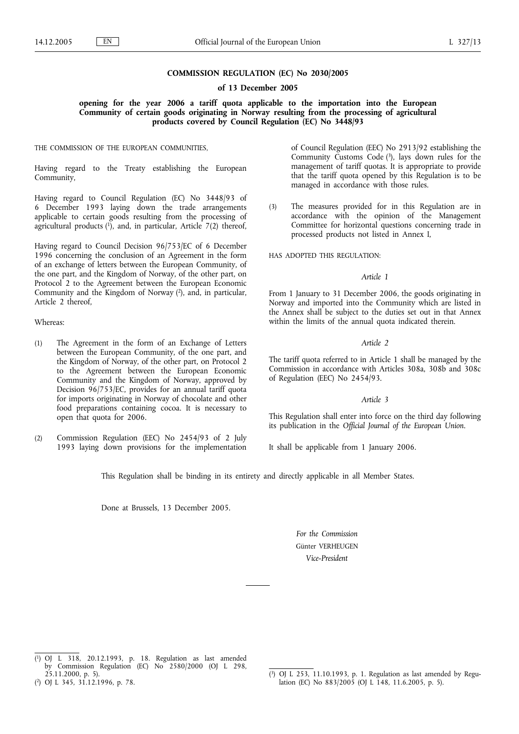#### **COMMISSION REGULATION (EC) No 2030/2005**

**of 13 December 2005**

**opening for the year 2006 a tariff quota applicable to the importation into the European Community of certain goods originating in Norway resulting from the processing of agricultural products covered by Council Regulation (EC) No 3448/93**

THE COMMISSION OF THE EUROPEAN COMMUNITIES,

Having regard to the Treaty establishing the European Community,

Having regard to Council Regulation (EC) No 3448/93 of 6 December 1993 laying down the trade arrangements applicable to certain goods resulting from the processing of agricultural products  $(1)$ , and, in particular, Article 7(2) thereof,

Having regard to Council Decision 96/753/EC of 6 December 1996 concerning the conclusion of an Agreement in the form of an exchange of letters between the European Community, of the one part, and the Kingdom of Norway, of the other part, on Protocol 2 to the Agreement between the European Economic Community and the Kingdom of Norway (2), and, in particular, Article 2 thereof,

Whereas:

- (1) The Agreement in the form of an Exchange of Letters between the European Community, of the one part, and the Kingdom of Norway, of the other part, on Protocol 2 to the Agreement between the European Economic Community and the Kingdom of Norway, approved by Decision 96/753/EC, provides for an annual tariff quota for imports originating in Norway of chocolate and other food preparations containing cocoa. It is necessary to open that quota for 2006.
- (2) Commission Regulation (EEC) No 2454/93 of 2 July 1993 laying down provisions for the implementation

of Council Regulation (EEC) No 2913/92 establishing the Community Customs Code (3), lays down rules for the management of tariff quotas. It is appropriate to provide that the tariff quota opened by this Regulation is to be managed in accordance with those rules.

(3) The measures provided for in this Regulation are in accordance with the opinion of the Management Committee for horizontal questions concerning trade in processed products not listed in Annex I,

HAS ADOPTED THIS REGULATION:

#### *Article 1*

From 1 January to 31 December 2006, the goods originating in Norway and imported into the Community which are listed in the Annex shall be subject to the duties set out in that Annex within the limits of the annual quota indicated therein.

#### *Article 2*

The tariff quota referred to in Article 1 shall be managed by the Commission in accordance with Articles 308a, 308b and 308c of Regulation (EEC) No 2454/93.

#### *Article 3*

This Regulation shall enter into force on the third day following its publication in the *Official Journal of the European Union*.

It shall be applicable from 1 January 2006.

This Regulation shall be binding in its entirety and directly applicable in all Member States.

Done at Brussels, 13 December 2005.

*For the Commission* Günter VERHEUGEN *Vice-President*

<sup>(</sup> 1) OJ L 318, 20.12.1993, p. 18. Regulation as last amended by Commission Regulation (EC) No 2580/2000 (OJ L 298, 25.11.2000, p. 5).

<sup>(</sup> 2) OJ L 345, 31.12.1996, p. 78.

<sup>(</sup> 3) OJ L 253, 11.10.1993, p. 1. Regulation as last amended by Regulation (EC) No 883/2005 (OJ L 148, 11.6.2005, p. 5).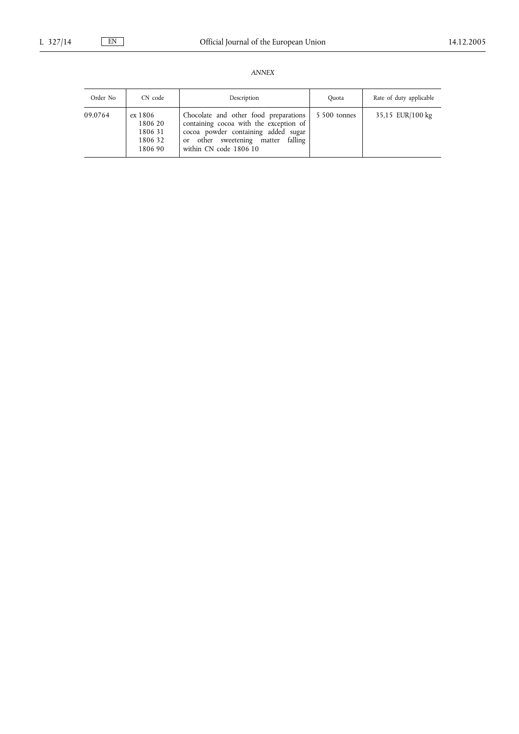| Order No | CN code                                             | Description                                                                                                                                                                            | Quota        | Rate of duty applicable |
|----------|-----------------------------------------------------|----------------------------------------------------------------------------------------------------------------------------------------------------------------------------------------|--------------|-------------------------|
| 09.0764  | ex 1806<br>1806 20<br>1806 31<br>1806 32<br>1806 90 | Chocolate and other food preparations<br>containing cocoa with the exception of<br>cocoa powder containing added sugar<br>or other sweetening matter falling<br>within CN code 1806 10 | 5 500 tonnes | 35,15 EUR/100 kg        |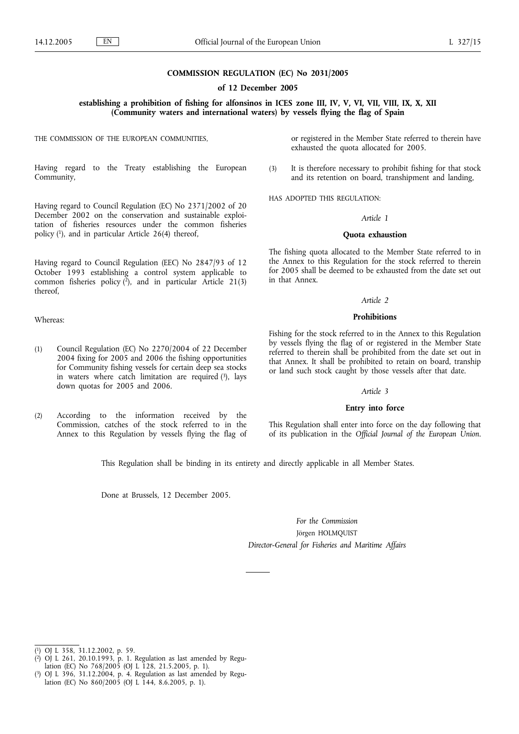#### **COMMISSION REGULATION (EC) No 2031/2005**

**of 12 December 2005**

**establishing a prohibition of fishing for alfonsinos in ICES zone III, IV, V, VI, VII, VIII, IX, X, XII (Community waters and international waters) by vessels flying the flag of Spain**

THE COMMISSION OF THE EUROPEAN COMMUNITIES,

Having regard to the Treaty establishing the European Community,

Having regard to Council Regulation (EC) No 2371/2002 of 20 December 2002 on the conservation and sustainable exploitation of fisheries resources under the common fisheries policy (1), and in particular Article 26(4) thereof,

Having regard to Council Regulation (EEC) No 2847/93 of 12 October 1993 establishing a control system applicable to common fisheries policy  $(\overline{2})$ , and in particular Article 21(3) thereof,

Whereas:

- (1) Council Regulation (EC) No 2270/2004 of 22 December 2004 fixing for 2005 and 2006 the fishing opportunities for Community fishing vessels for certain deep sea stocks in waters where catch limitation are required  $(3)$ , lays down quotas for 2005 and 2006.
- (2) According to the information received by the Commission, catches of the stock referred to in the Annex to this Regulation by vessels flying the flag of

or registered in the Member State referred to therein have exhausted the quota allocated for 2005.

(3) It is therefore necessary to prohibit fishing for that stock and its retention on board, transhipment and landing,

HAS ADOPTED THIS REGULATION:

#### *Article 1*

#### **Quota exhaustion**

The fishing quota allocated to the Member State referred to in the Annex to this Regulation for the stock referred to therein for 2005 shall be deemed to be exhausted from the date set out in that Annex.

#### *Article 2*

#### **Prohibitions**

Fishing for the stock referred to in the Annex to this Regulation by vessels flying the flag of or registered in the Member State referred to therein shall be prohibited from the date set out in that Annex. It shall be prohibited to retain on board, tranship or land such stock caught by those vessels after that date.

#### *Article 3*

#### **Entry into force**

This Regulation shall enter into force on the day following that of its publication in the *Official Journal of the European Union*.

This Regulation shall be binding in its entirety and directly applicable in all Member States.

Done at Brussels, 12 December 2005.

*For the Commission* Jörgen HOLMQUIST *Director-General for Fisheries and Maritime Affairs*

( 1) OJ L 358, 31.12.2002, p. 59.

- ( 2) OJ L 261, 20.10.1993, p. 1. Regulation as last amended by Regulation (EC) No 768/2005 (OJ L 128, 21.5.2005, p. 1).
- ( 3) OJ L 396, 31.12.2004, p. 4. Regulation as last amended by Regulation (EC) No 860/2005 (OJ L 144, 8.6.2005, p. 1).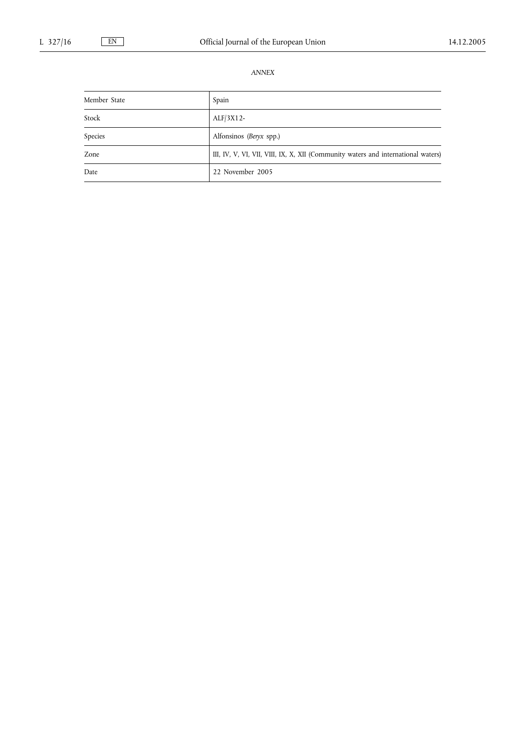| Member State | Spain                                                                             |
|--------------|-----------------------------------------------------------------------------------|
| Stock        | $ALF/3X12-$                                                                       |
| Species      | Alfonsinos (Beryx spp.)                                                           |
| Zone         | III, IV, V, VI, VII, VIII, IX, X, XII (Community waters and international waters) |
| Date         | 22 November 2005                                                                  |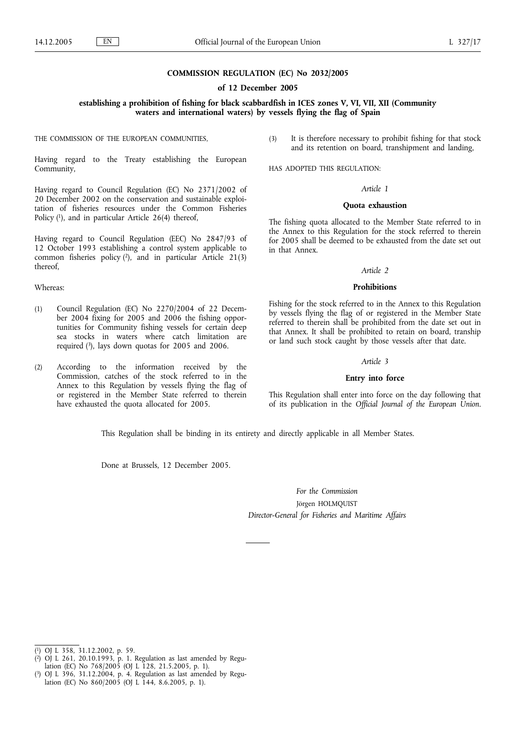#### **COMMISSION REGULATION (EC) No 2032/2005**

**of 12 December 2005**

**establishing a prohibition of fishing for black scabbardfish in ICES zones V, VI, VII, XII (Community waters and international waters) by vessels flying the flag of Spain**

THE COMMISSION OF THE EUROPEAN COMMUNITIES,

Having regard to the Treaty establishing the European Community,

Having regard to Council Regulation (EC) No 2371/2002 of 20 December 2002 on the conservation and sustainable exploitation of fisheries resources under the Common Fisheries Policy  $(1)$ , and in particular Article 26(4) thereof,

Having regard to Council Regulation (EEC) No 2847/93 of 12 October 1993 establishing a control system applicable to common fisheries policy  $(2)$ , and in particular Article 21(3) thereof,

#### Whereas:

- (1) Council Regulation (EC) No 2270/2004 of 22 December 2004 fixing for 2005 and 2006 the fishing opportunities for Community fishing vessels for certain deep sea stocks in waters where catch limitation are required (3), lays down quotas for 2005 and 2006.
- (2) According to the information received by the Commission, catches of the stock referred to in the Annex to this Regulation by vessels flying the flag of or registered in the Member State referred to therein have exhausted the quota allocated for 2005.

(3) It is therefore necessary to prohibit fishing for that stock and its retention on board, transhipment and landing,

HAS ADOPTED THIS REGULATION:

#### *Article 1*

#### **Quota exhaustion**

The fishing quota allocated to the Member State referred to in the Annex to this Regulation for the stock referred to therein for 2005 shall be deemed to be exhausted from the date set out in that Annex.

#### *Article 2*

#### **Prohibitions**

Fishing for the stock referred to in the Annex to this Regulation by vessels flying the flag of or registered in the Member State referred to therein shall be prohibited from the date set out in that Annex. It shall be prohibited to retain on board, tranship or land such stock caught by those vessels after that date.

#### *Article 3*

#### **Entry into force**

This Regulation shall enter into force on the day following that of its publication in the *Official Journal of the European Union*.

This Regulation shall be binding in its entirety and directly applicable in all Member States.

Done at Brussels, 12 December 2005.

*For the Commission* Jörgen HOLMQUIST *Director-General for Fisheries and Maritime Affairs*

( 1) OJ L 358, 31.12.2002, p. 59.

- ( 2) OJ L 261, 20.10.1993, p. 1. Regulation as last amended by Regulation (EC) No 768/2005 (OJ L 128, 21.5.2005, p. 1).
- ( 3) OJ L 396, 31.12.2004, p. 4. Regulation as last amended by Regulation (EC) No 860/2005 (OJ L 144, 8.6.2005, p. 1).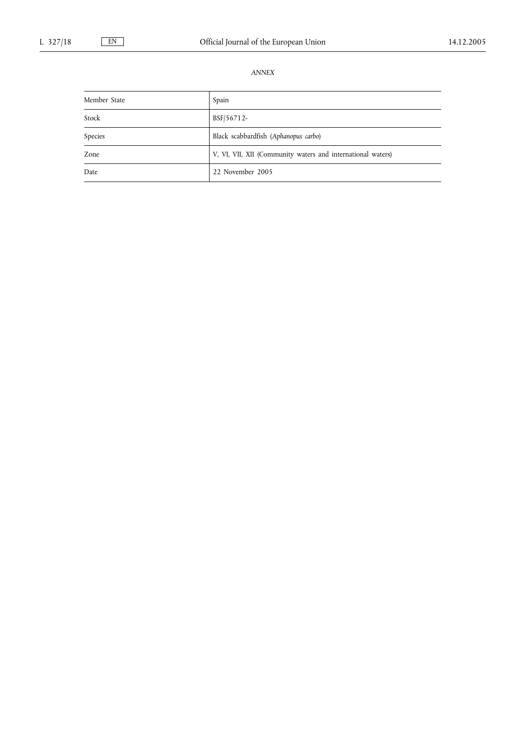| Member State | Spain                                                       |
|--------------|-------------------------------------------------------------|
| Stock        | BSF/56712-                                                  |
| Species      | Black scabbardfish (Aphanopus carbo)                        |
| Zone         | V, VI, VII, XII (Community waters and international waters) |
| Date         | 22 November 2005                                            |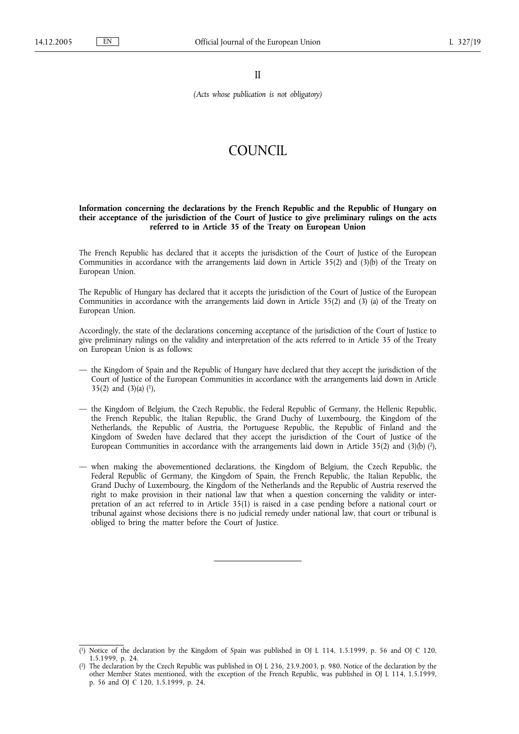II

*(Acts whose publication is not obligatory)*

## COUNCIL

#### **Information concerning the declarations by the French Republic and the Republic of Hungary on their acceptance of the jurisdiction of the Court of Justice to give preliminary rulings on the acts referred to in Article 35 of the Treaty on European Union**

The French Republic has declared that it accepts the jurisdiction of the Court of Justice of the European Communities in accordance with the arrangements laid down in Article 35(2) and (3)(b) of the Treaty on European Union.

The Republic of Hungary has declared that it accepts the jurisdiction of the Court of Justice of the European Communities in accordance with the arrangements laid down in Article 35(2) and (3) (a) of the Treaty on European Union.

Accordingly, the state of the declarations concerning acceptance of the jurisdiction of the Court of Justice to give preliminary rulings on the validity and interpretation of the acts referred to in Article 35 of the Treaty on European Union is as follows:

- the Kingdom of Spain and the Republic of Hungary have declared that they accept the jurisdiction of the Court of Justice of the European Communities in accordance with the arrangements laid down in Article 35(2) and  $(3)(a)$   $(1)$ ,
- the Kingdom of Belgium, the Czech Republic, the Federal Republic of Germany, the Hellenic Republic, the French Republic, the Italian Republic, the Grand Duchy of Luxembourg, the Kingdom of the Netherlands, the Republic of Austria, the Portuguese Republic, the Republic of Finland and the Kingdom of Sweden have declared that they accept the jurisdiction of the Court of Justice of the European Communities in accordance with the arrangements laid down in Article 35(2) and (3)(b)  $\binom{2}{1}$ ,
- when making the abovementioned declarations, the Kingdom of Belgium, the Czech Republic, the Federal Republic of Germany, the Kingdom of Spain, the French Republic, the Italian Republic, the Grand Duchy of Luxembourg, the Kingdom of the Netherlands and the Republic of Austria reserved the right to make provision in their national law that when a question concerning the validity or interpretation of an act referred to in Article 35(1) is raised in a case pending before a national court or tribunal against whose decisions there is no judicial remedy under national law, that court or tribunal is obliged to bring the matter before the Court of Justice.

<sup>(</sup> 1) Notice of the declaration by the Kingdom of Spain was published in OJ L 114, 1.5.1999, p. 56 and OJ C 120, 1.5.1999, p. 24.

 $(2)$ 2) The declaration by the Czech Republic was published in OJ L 236, 23.9.2003, p. 980. Notice of the declaration by the other Member States mentioned, with the exception of the French Republic, was published in OJ L 114, 1.5.1999, p. 56 and OJ C 120, 1.5.1999, p. 24.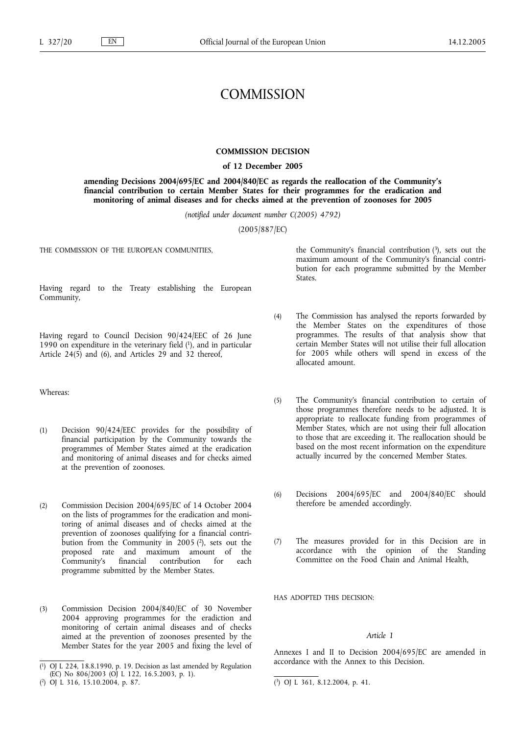## **COMMISSION**

#### **COMMISSION DECISION**

#### **of 12 December 2005**

**amending Decisions 2004/695/EC and 2004/840/EC as regards the reallocation of the Community***'***s financial contribution to certain Member States for their programmes for the eradication and monitoring of animal diseases and for checks aimed at the prevention of zoonoses for 2005**

*(notified under document number C(2005) 4792)*

(2005/887/EC)

THE COMMISSION OF THE EUROPEAN COMMUNITIES,

Having regard to the Treaty establishing the European Community,

Having regard to Council Decision 90/424/EEC of 26 June 1990 on expenditure in the veterinary field  $(1)$ , and in particular Article 24(5) and (6), and Articles 29 and 32 thereof,

Whereas:

- (1) Decision 90/424/EEC provides for the possibility of financial participation by the Community towards the programmes of Member States aimed at the eradication and monitoring of animal diseases and for checks aimed at the prevention of zoonoses.
- (2) Commission Decision 2004/695/EC of 14 October 2004 on the lists of programmes for the eradication and monitoring of animal diseases and of checks aimed at the prevention of zoonoses qualifying for a financial contribution from the Community in  $2005$  ( $2$ ), sets out the proposed rate and maximum amount of the Community's financial contribution for each programme submitted by the Member States.
- (3) Commission Decision 2004/840/EC of 30 November 2004 approving programmes for the eradiction and monitoring of certain animal diseases and of checks aimed at the prevention of zoonoses presented by the Member States for the year 2005 and fixing the level of

the Community's financial contribution  $(3)$ , sets out the maximum amount of the Community's financial contribution for each programme submitted by the Member States.

- (4) The Commission has analysed the reports forwarded by the Member States on the expenditures of those programmes. The results of that analysis show that certain Member States will not utilise their full allocation for 2005 while others will spend in excess of the allocated amount.
- (5) The Community's financial contribution to certain of those programmes therefore needs to be adjusted. It is appropriate to reallocate funding from programmes of Member States, which are not using their full allocation to those that are exceeding it. The reallocation should be based on the most recent information on the expenditure actually incurred by the concerned Member States.
- (6) Decisions 2004/695/EC and 2004/840/EC should therefore be amended accordingly.
- (7) The measures provided for in this Decision are in accordance with the opinion of the Standing Committee on the Food Chain and Animal Health,

HAS ADOPTED THIS DECISION:

#### *Article 1*

Annexes I and II to Decision 2004/695/EC are amended in accordance with the Annex to this Decision.

<sup>(</sup> 1) OJ L 224, 18.8.1990, p. 19. Decision as last amended by Regulation (EC) No 806/2003 (OJ L 122, 16.5.2003, p. 1).

<sup>(</sup> 2) OJ L 316, 15.10.2004, p. 87. (

<sup>3)</sup> OJ L 361, 8.12.2004, p. 41.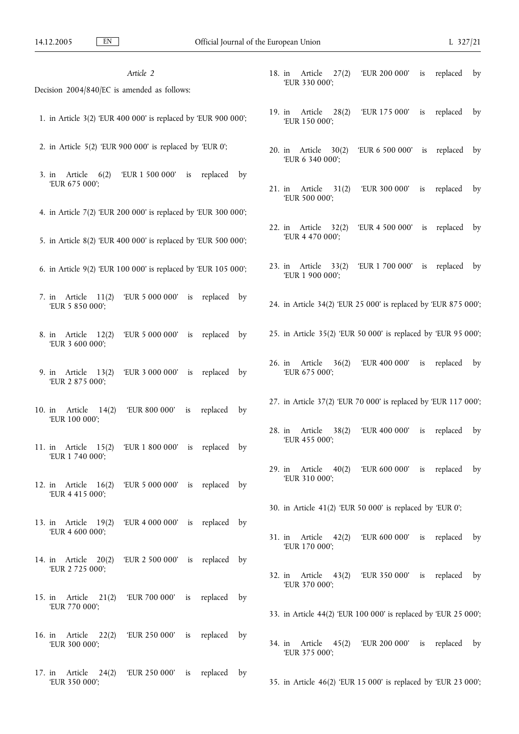| Article 2                                                                       |             | Article<br>18. in<br>27(2)                                      | 'EUR 200 000'                | is | replaced | by |
|---------------------------------------------------------------------------------|-------------|-----------------------------------------------------------------|------------------------------|----|----------|----|
|                                                                                 |             | 'EUR 330 000';                                                  |                              |    |          |    |
| Decision 2004/840/EC is amended as follows:                                     |             |                                                                 |                              |    |          |    |
| 1. in Article 3(2) 'EUR 400 000' is replaced by 'EUR 900 000';                  |             | Article<br>28(2)<br>$19.$ in<br>'EUR 150 000';                  | 'EUR 175 000'                | is | replaced | by |
| 2. in Article $5(2)$ 'EUR $900000$ ' is replaced by 'EUR 0';                    |             | 20. in Article<br>30(2)<br>'EUR 6 340 000';                     | 'EUR 6 500 000' is           |    | replaced | by |
| 'EUR 1 500 000' is replaced<br>3. in Article $6(2)$<br>'EUR 675 000';           | by          | Article<br>$21.$ in<br>31(2)<br>'EUR 500 000';                  | 'EUR 300 000'                | is | replaced | by |
| 4. in Article 7(2) 'EUR 200 000' is replaced by 'EUR 300 000';                  |             |                                                                 |                              |    |          |    |
| 5. in Article 8(2) 'EUR 400 000' is replaced by 'EUR 500 000';                  |             | 22. in Article 32(2)<br>'EUR 4 470 000';                        | 'EUR 4 500 000' is replaced  |    |          | by |
| 6. in Article 9(2) 'EUR 100 000' is replaced by 'EUR 105 000';                  |             | 23. in Article<br>33(2)<br>'EUR 1 900 000';                     | 'EUR 1 700 000'              | is | replaced | by |
| 'EUR 5 000 000'<br>Article 11(2)<br>replaced<br>is<br>7. in<br>'EUR 5 850 000'; | by          | 24. in Article 34(2) 'EUR 25 000' is replaced by 'EUR 875 000'; |                              |    |          |    |
| 'EUR 5 000 000' is replaced by<br>8. in Article 12(2)<br>'EUR 3 600 000';       |             | 25. in Article 35(2) 'EUR 50 000' is replaced by 'EUR 95 000';  |                              |    |          |    |
| 'EUR 3 000 000' is replaced<br>9. in Article $13(2)$<br>'EUR 2 875 000';        | by          | Article<br>36(2)<br>$26.$ in<br>'EUR 675 000';                  | 'EUR 400 000'                | is | replaced | by |
| Article<br>14(2)<br>'EUR 800 000'<br>replaced<br>10. in<br>is<br>'EUR 100 000'; | by          | 27. in Article 37(2) 'EUR 70 000' is replaced by 'EUR 117 000'; |                              |    |          |    |
| 11. in Article 15(2)<br>'EUR 1 800 000' is replaced<br>'EUR 1 740 000';         | bv          | 28. in<br>Article<br>38(2)<br>'EUR 455 000';                    | 'EUR 400 000'                | is | replaced | by |
| 'EUR 5 000 000' is replaced by<br>12. in Article $16(2)$<br>'EUR 4 415 000';    |             | 29. in Article $40(2)$<br>'EUR 310 000';                        | 'EUR 600 000' is replaced by |    |          |    |
|                                                                                 |             | 30. in Article 41(2) 'EUR 50 000' is replaced by 'EUR 0';       |                              |    |          |    |
| 13. in Article 19(2)<br>'EUR 4 000 000' is replaced by<br>'EUR 4 600 000';      |             | 31. in Article 42(2)                                            | 'EUR 600 000' is replaced by |    |          |    |
| 14. in Article 20(2)<br>'EUR 2 500 000' is replaced by<br>'EUR 2 725 000';      |             | 'EUR 170 000';                                                  |                              |    |          |    |
| 15. in Article 21(2)<br>'EUR 700 000' is replaced                               | by          | 32. in Article 43(2)<br>'EUR 370 000';                          | 'EUR 350 000' is replaced    |    |          | by |
| 'EUR 770 000';                                                                  |             | 33. in Article 44(2) 'EUR 100 000' is replaced by 'EUR 25 000'; |                              |    |          |    |
| 16. in Article 22(2)<br>'EUR 250 000' is replaced<br>'EUR 300 000';             | by          | 34. in Article<br>45(2)<br>'EUR 375 000';                       | 'EUR 200 000' is replaced by |    |          |    |
| 'EUR 250 000' is replaced<br>17. in Article 24(2)<br>'EUR 350 000';             | $_{\rm by}$ | 35. in Article 46(2) 'EUR 15 000' is replaced by 'EUR 23 000';  |                              |    |          |    |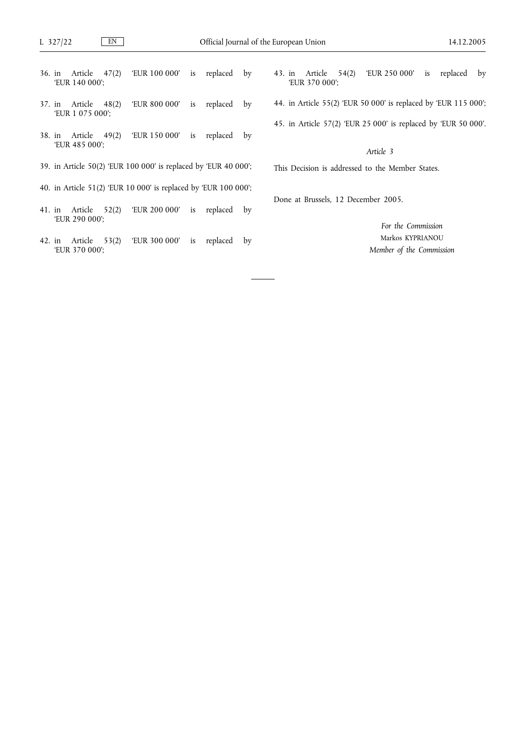- 36. in Article 47(2) 'EUR 100 000' is replaced by 'EUR 140 000';
- 37. in Article 48(2) 'EUR 800 000' is replaced by 'EUR 1 075 000';
- 38. in Article 49(2) 'EUR 150 000' is replaced by 'EUR 485 000';
- 39. in Article 50(2) 'EUR 100 000' is replaced by 'EUR 40 000';
- 40. in Article 51(2) 'EUR 10 000' is replaced by 'EUR 100 000';
- 41. in Article 52(2) 'EUR 200 000' is replaced by 'EUR 290 000';
- 42. in Article 53(2) 'EUR 300 000' is replaced by 'EUR 370 000';
- 43. in Article 54(2) 'EUR 250 000' is replaced by 'EUR 370 000';
- 44. in Article 55(2) 'EUR 50 000' is replaced by 'EUR 115 000';
- 45. in Article 57(2) 'EUR 25 000' is replaced by 'EUR 50 000'.

This Decision is addressed to the Member States.

Done at Brussels, 12 December 2005.

*For the Commission* Markos KYPRIANOU *Member of the Commission*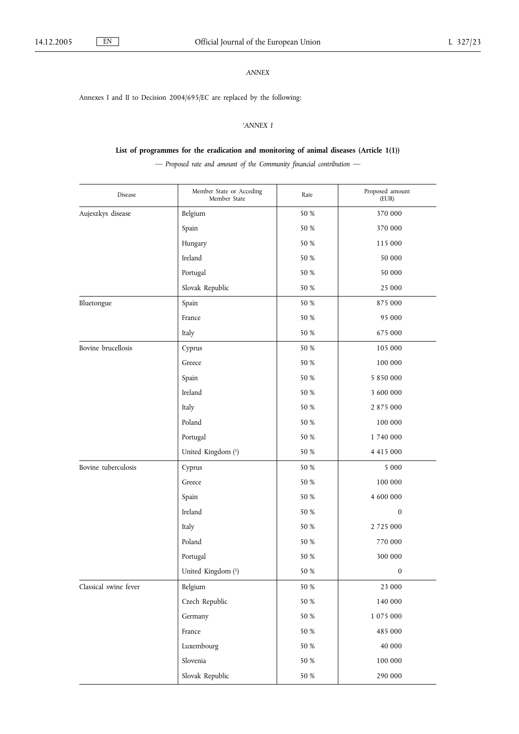Annexes I and II to Decision 2004/695/EC are replaced by the following:

## *'ANNEX I*

## **List of programmes for the eradication and monitoring of animal diseases (Article 1(1))**

*— Proposed rate and amount of the Community financial contribution —*

| Disease               | Member State or Acceding<br>Rate<br>Member State |         | Proposed amount<br>(EUR) |
|-----------------------|--------------------------------------------------|---------|--------------------------|
| Aujeszkys disease     | Belgium                                          | 50 %    | 370 000                  |
|                       | Spain                                            | 50 %    | 370 000                  |
|                       | Hungary                                          | 50 %    | 115 000                  |
|                       | Ireland                                          | 50 %    | 50 000                   |
|                       | Portugal                                         | 50 %    | 50 000                   |
|                       | Slovak Republic                                  | 50 %    | 25 000                   |
| Bluetongue            | Spain                                            | 50 %    | 875 000                  |
|                       | France                                           | 50 %    | 95 000                   |
|                       | Italy                                            | 50 %    | 675 000                  |
| Bovine brucellosis    | Cyprus                                           | 50 %    | 105 000                  |
|                       | Greece                                           | 50 %    | 100 000                  |
|                       | Spain                                            | 50 %    | 5 850 000                |
|                       | Ireland                                          | 50 %    | 3 600 000                |
|                       | Italy                                            | 50 %    | 2 875 000                |
|                       | Poland                                           | 50 %    | 100 000                  |
|                       | Portugal                                         | 50 %    | 1 740 000                |
|                       | United Kingdom (1)                               | 50 %    | 4 415 000                |
| Bovine tuberculosis   | Cyprus                                           | 50 %    | 5 0 0 0                  |
|                       | Greece                                           | 50 %    | 100 000                  |
|                       | Spain                                            | 50 %    | 4 600 000                |
|                       | Ireland                                          | 50 %    | $\boldsymbol{0}$         |
|                       | Italy                                            | 50 %    | 2 7 2 5 0 0 0            |
|                       | Poland                                           | 50 %    | 770 000                  |
|                       | Portugal                                         | 50 %    | 300 000                  |
|                       | United Kingdom (1)                               | 50 %    | $\boldsymbol{0}$         |
| Classical swine fever | Belgium                                          | 50 %    | 23 000                   |
|                       | Czech Republic                                   | 50 %    | 140 000                  |
|                       | Germany                                          | $50~\%$ | 1075000                  |
|                       | France                                           | $50~\%$ | 485 000                  |
|                       | Luxembourg                                       | 50 %    | 40 000                   |
|                       | Slovenia                                         | $50~\%$ | 100000                   |
|                       | Slovak Republic                                  | 50 %    | 290 000                  |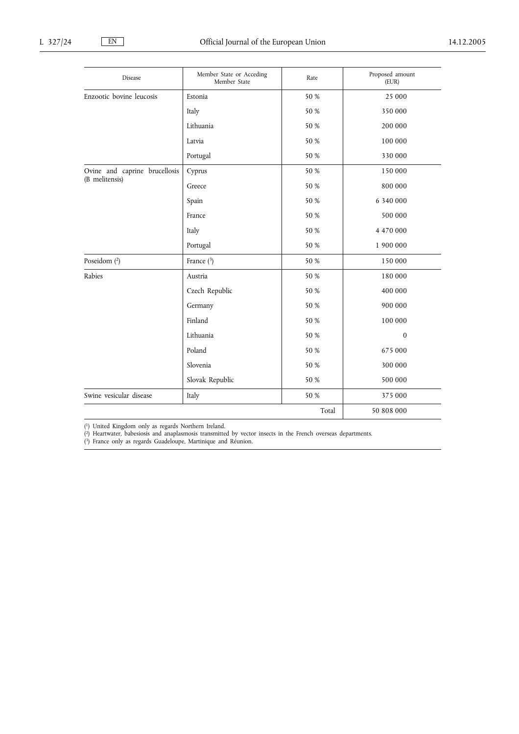| Disease                                         | Member State or Acceding<br>Member State | Rate  | Proposed amount<br>(EUR) |
|-------------------------------------------------|------------------------------------------|-------|--------------------------|
| Enzootic bovine leucosis                        | Estonia                                  | 50 %  | 25 000                   |
|                                                 | Italy                                    | 50 %  | 350 000                  |
|                                                 | Lithuania                                | 50 %  | 200 000                  |
|                                                 | Latvia                                   | 50 %  | 100 000                  |
|                                                 | Portugal                                 | 50 %  | 330 000                  |
| Ovine and caprine brucellosis<br>(B melitensis) | Cyprus                                   | 50 %  | 150 000                  |
|                                                 | Greece                                   | 50 %  | 800 000                  |
|                                                 | Spain                                    | 50 %  | 6 340 000                |
|                                                 | France                                   | 50 %  | 500 000                  |
|                                                 | Italy                                    | 50 %  | 4 470 000                |
|                                                 | Portugal                                 | 50 %  | 1 900 000                |
| Poseidom (2)                                    | France $(3)$                             | 50 %  | 150 000                  |
| Rabies                                          | Austria                                  | 50 %  | 180 000                  |
|                                                 | Czech Republic                           | 50 %  | 400 000                  |
|                                                 | Germany                                  | 50 %  | 900 000                  |
|                                                 | Finland                                  | 50 %  | 100 000                  |
|                                                 | Lithuania                                | 50 %  | $\Omega$                 |
|                                                 | Poland                                   | 50 %  | 675 000                  |
|                                                 | Slovenia                                 | 50 %  | 300 000                  |
|                                                 | Slovak Republic                          | 50 %  | 500 000                  |
| Swine vesicular disease                         | Italy                                    | 50 %  | 375 000                  |
|                                                 |                                          | Total | 50 808 000               |

( 1) United Kingdom only as regards Northern Ireland.

( 2) Heartwater, babesiosis and anaplasmosis transmitted by vector insects in the French overseas departments.

( 3) France only as regards Guadeloupe, Martinique and Réunion.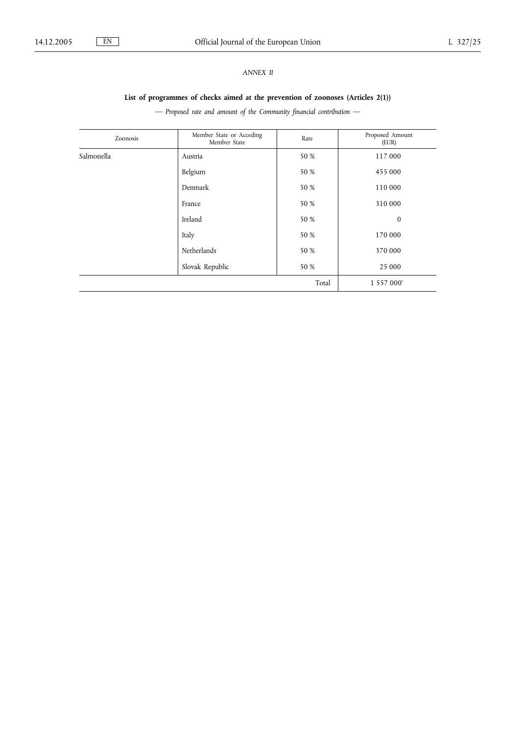## *ANNEX II*

## **List of programmes of checks aimed at the prevention of zoonoses (Articles 2(1))**

*— Proposed rate and amount of the Community financial contribution —*

| Zoonosis   | Member State or Acceding<br>Member State | Rate  | Proposed Amount<br>(EUR) |
|------------|------------------------------------------|-------|--------------------------|
| Salmonella | Austria                                  | 50 %  | 117 000                  |
|            | Belgium                                  | 50 %  | 455 000                  |
|            | Denmark                                  | 50 %  | 110 000                  |
|            | France                                   | 50 %  | 310 000                  |
|            | Ireland                                  | 50 %  | $\mathbf{0}$             |
|            | Italy                                    | 50 %  | 170 000                  |
|            | Netherlands                              | 50 %  | 370 000                  |
|            | Slovak Republic                          | 50 %  | 25 000                   |
|            |                                          | Total | 1 557 000'               |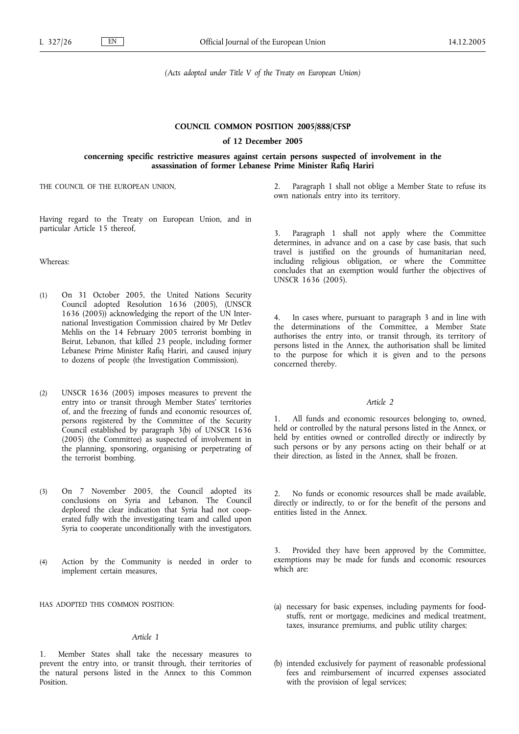*(Acts adopted under Title V of the Treaty on European Union)*

#### **COUNCIL COMMON POSITION 2005/888/CFSP**

#### **of 12 December 2005**

#### **concerning specific restrictive measures against certain persons suspected of involvement in the assassination of former Lebanese Prime Minister Rafiq Hariri**

THE COUNCIL OF THE EUROPEAN UNION,

2. Paragraph 1 shall not oblige a Member State to refuse its own nationals entry into its territory.

Having regard to the Treaty on European Union, and in particular Article 15 thereof,

Whereas:

- (1) On 31 October 2005, the United Nations Security Council adopted Resolution 1636 (2005), (UNSCR 1636 (2005)) acknowledging the report of the UN International Investigation Commission chaired by Mr Detlev Mehlis on the 14 February 2005 terrorist bombing in Beirut, Lebanon, that killed 23 people, including former Lebanese Prime Minister Rafiq Hariri, and caused injury to dozens of people (the Investigation Commission).
- (2) UNSCR 1636 (2005) imposes measures to prevent the entry into or transit through Member States*'* territories of, and the freezing of funds and economic resources of, persons registered by the Committee of the Security Council established by paragraph 3(b) of UNSCR 1636 (2005) (the Committee) as suspected of involvement in the planning, sponsoring, organising or perpetrating of the terrorist bombing.
- (3) On 7 November 2005, the Council adopted its conclusions on Syria and Lebanon. The Council deplored the clear indication that Syria had not cooperated fully with the investigating team and called upon Syria to cooperate unconditionally with the investigators.
- (4) Action by the Community is needed in order to implement certain measures,

HAS ADOPTED THIS COMMON POSITION:

#### *Article 1*

1. Member States shall take the necessary measures to prevent the entry into, or transit through, their territories of the natural persons listed in the Annex to this Common Position.

3. Paragraph 1 shall not apply where the Committee determines, in advance and on a case by case basis, that such travel is justified on the grounds of humanitarian need, including religious obligation, or where the Committee concludes that an exemption would further the objectives of UNSCR 1636 (2005).

4. In cases where, pursuant to paragraph 3 and in line with the determinations of the Committee, a Member State authorises the entry into, or transit through, its territory of persons listed in the Annex, the authorisation shall be limited to the purpose for which it is given and to the persons concerned thereby.

### *Article 2*

1. All funds and economic resources belonging to, owned, held or controlled by the natural persons listed in the Annex, or held by entities owned or controlled directly or indirectly by such persons or by any persons acting on their behalf or at their direction, as listed in the Annex, shall be frozen.

2. No funds or economic resources shall be made available, directly or indirectly, to or for the benefit of the persons and entities listed in the Annex.

3. Provided they have been approved by the Committee, exemptions may be made for funds and economic resources which are:

- (a) necessary for basic expenses, including payments for foodstuffs, rent or mortgage, medicines and medical treatment, taxes, insurance premiums, and public utility charges;
- (b) intended exclusively for payment of reasonable professional fees and reimbursement of incurred expenses associated with the provision of legal services;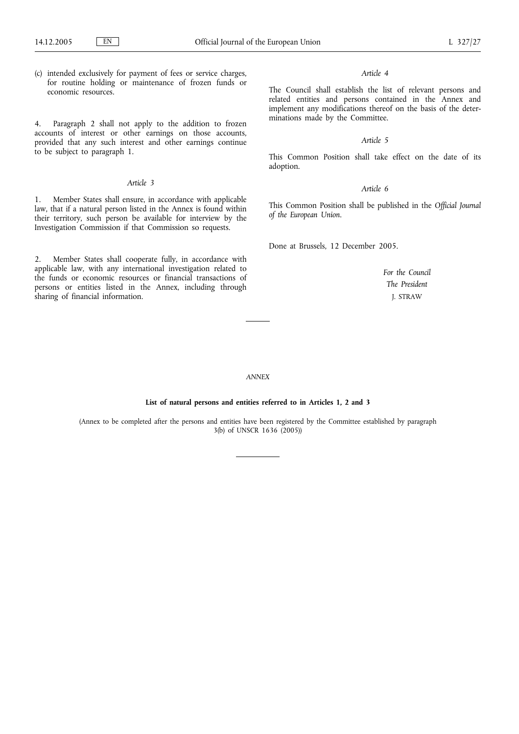(c) intended exclusively for payment of fees or service charges, for routine holding or maintenance of frozen funds or economic resources.

4. Paragraph 2 shall not apply to the addition to frozen accounts of interest or other earnings on those accounts, provided that any such interest and other earnings continue to be subject to paragraph 1.

#### *Article 3*

1. Member States shall ensure, in accordance with applicable law, that if a natural person listed in the Annex is found within their territory, such person be available for interview by the Investigation Commission if that Commission so requests.

2. Member States shall cooperate fully, in accordance with applicable law, with any international investigation related to the funds or economic resources or financial transactions of persons or entities listed in the Annex, including through sharing of financial information.

#### *Article 4*

The Council shall establish the list of relevant persons and related entities and persons contained in the Annex and implement any modifications thereof on the basis of the determinations made by the Committee.

#### *Article 5*

This Common Position shall take effect on the date of its adoption.

#### *Article 6*

This Common Position shall be published in the *Official Journal of the European Union*.

Done at Brussels, 12 December 2005.

*For the Council The President* J. STRAW

#### *ANNEX*

#### **List of natural persons and entities referred to in Articles 1, 2 and 3**

(Annex to be completed after the persons and entities have been registered by the Committee established by paragraph 3(b) of UNSCR 1636 (2005))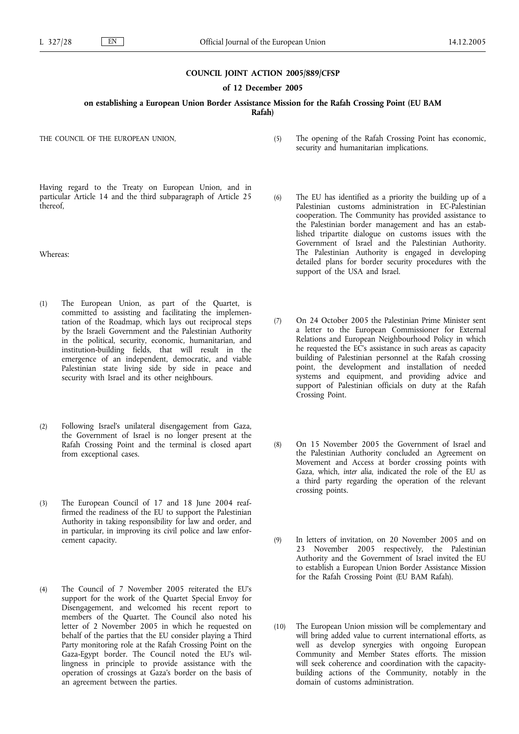#### **COUNCIL JOINT ACTION 2005/889/CFSP**

**of 12 December 2005**

**on establishing a European Union Border Assistance Mission for the Rafah Crossing Point (EU BAM Rafah)**

THE COUNCIL OF THE EUROPEAN UNION,

Having regard to the Treaty on European Union, and in particular Article 14 and the third subparagraph of Article 25 thereof,

Whereas:

- (1) The European Union, as part of the Quartet, is committed to assisting and facilitating the implementation of the Roadmap, which lays out reciprocal steps by the Israeli Government and the Palestinian Authority in the political, security, economic, humanitarian, and institution-building fields, that will result in the emergence of an independent, democratic, and viable Palestinian state living side by side in peace and security with Israel and its other neighbours.
- (2) Following Israel's unilateral disengagement from Gaza, the Government of Israel is no longer present at the Rafah Crossing Point and the terminal is closed apart from exceptional cases.
- (3) The European Council of 17 and 18 June 2004 reaffirmed the readiness of the EU to support the Palestinian Authority in taking responsibility for law and order, and in particular, in improving its civil police and law enforcement capacity.
- (4) The Council of 7 November 2005 reiterated the EU's support for the work of the Quartet Special Envoy for Disengagement, and welcomed his recent report to members of the Quartet. The Council also noted his letter of 2 November 2005 in which he requested on behalf of the parties that the EU consider playing a Third Party monitoring role at the Rafah Crossing Point on the Gaza-Egypt border. The Council noted the EU's willingness in principle to provide assistance with the operation of crossings at Gaza's border on the basis of an agreement between the parties.
- (5) The opening of the Rafah Crossing Point has economic, security and humanitarian implications.
- (6) The EU has identified as a priority the building up of a Palestinian customs administration in EC-Palestinian cooperation. The Community has provided assistance to the Palestinian border management and has an established tripartite dialogue on customs issues with the Government of Israel and the Palestinian Authority. The Palestinian Authority is engaged in developing detailed plans for border security procedures with the support of the USA and Israel.
- (7) On 24 October 2005 the Palestinian Prime Minister sent a letter to the European Commissioner for External Relations and European Neighbourhood Policy in which he requested the EC's assistance in such areas as capacity building of Palestinian personnel at the Rafah crossing point, the development and installation of needed systems and equipment, and providing advice and support of Palestinian officials on duty at the Rafah Crossing Point.
- (8) On 15 November 2005 the Government of Israel and the Palestinian Authority concluded an Agreement on Movement and Access at border crossing points with Gaza, which, *inter alia*, indicated the role of the EU as a third party regarding the operation of the relevant crossing points.
- (9) In letters of invitation, on 20 November 2005 and on 23 November 2005 respectively, the Palestinian Authority and the Government of Israel invited the EU to establish a European Union Border Assistance Mission for the Rafah Crossing Point (EU BAM Rafah).
- (10) The European Union mission will be complementary and will bring added value to current international efforts, as well as develop synergies with ongoing European Community and Member States efforts. The mission will seek coherence and coordination with the capacitybuilding actions of the Community, notably in the domain of customs administration.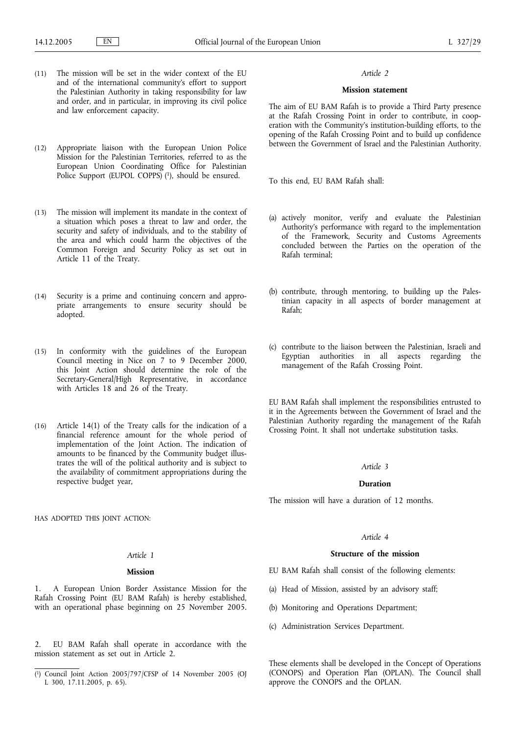- (11) The mission will be set in the wider context of the EU and of the international community's effort to support the Palestinian Authority in taking responsibility for law and order, and in particular, in improving its civil police and law enforcement capacity.
- (12) Appropriate liaison with the European Union Police Mission for the Palestinian Territories, referred to as the European Union Coordinating Office for Palestinian Police Support (EUPOL COPPS)<sup>(1</sup>), should be ensured.
- (13) The mission will implement its mandate in the context of a situation which poses a threat to law and order, the security and safety of individuals, and to the stability of the area and which could harm the objectives of the Common Foreign and Security Policy as set out in Article 11 of the Treaty.
- (14) Security is a prime and continuing concern and appropriate arrangements to ensure security should be adopted.
- (15) In conformity with the guidelines of the European Council meeting in Nice on 7 to 9 December 2000, this Joint Action should determine the role of the Secretary-General/High Representative, in accordance with Articles 18 and 26 of the Treaty.
- (16) Article 14(1) of the Treaty calls for the indication of a financial reference amount for the whole period of implementation of the Joint Action. The indication of amounts to be financed by the Community budget illustrates the will of the political authority and is subject to the availability of commitment appropriations during the respective budget year,

HAS ADOPTED THIS JOINT ACTION:

#### *Article 1*

#### **Mission**

1. A European Union Border Assistance Mission for the Rafah Crossing Point (EU BAM Rafah) is hereby established, with an operational phase beginning on 25 November 2005.

2. EU BAM Rafah shall operate in accordance with the mission statement as set out in Article 2.

#### *Article 2*

#### **Mission statement**

The aim of EU BAM Rafah is to provide a Third Party presence at the Rafah Crossing Point in order to contribute, in cooperation with the Community's institution-building efforts, to the opening of the Rafah Crossing Point and to build up confidence between the Government of Israel and the Palestinian Authority.

To this end, EU BAM Rafah shall:

- (a) actively monitor, verify and evaluate the Palestinian Authority's performance with regard to the implementation of the Framework, Security and Customs Agreements concluded between the Parties on the operation of the Rafah terminal;
- (b) contribute, through mentoring, to building up the Palestinian capacity in all aspects of border management at Rafah;
- (c) contribute to the liaison between the Palestinian, Israeli and Egyptian authorities in all aspects regarding the management of the Rafah Crossing Point.

EU BAM Rafah shall implement the responsibilities entrusted to it in the Agreements between the Government of Israel and the Palestinian Authority regarding the management of the Rafah Crossing Point. It shall not undertake substitution tasks.

#### *Article 3*

#### **Duration**

The mission will have a duration of 12 months.

#### *Article 4*

#### **Structure of the mission**

EU BAM Rafah shall consist of the following elements:

- (a) Head of Mission, assisted by an advisory staff;
- (b) Monitoring and Operations Department;
- (c) Administration Services Department.

These elements shall be developed in the Concept of Operations (CONOPS) and Operation Plan (OPLAN). The Council shall approve the CONOPS and the OPLAN.

<sup>(</sup> 1) Council Joint Action 2005/797/CFSP of 14 November 2005 (OJ L 300, 17.11.2005, p. 65).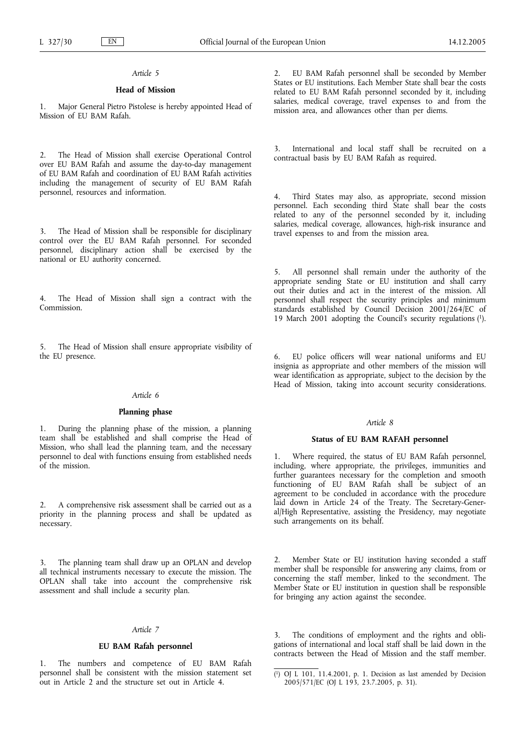## **Head of Mission**

Major General Pietro Pistolese is hereby appointed Head of Mission of EU BAM Rafah.

2. The Head of Mission shall exercise Operational Control over EU BAM Rafah and assume the day-to-day management of EU BAM Rafah and coordination of EU BAM Rafah activities including the management of security of EU BAM Rafah personnel, resources and information.

3. The Head of Mission shall be responsible for disciplinary control over the EU BAM Rafah personnel. For seconded personnel, disciplinary action shall be exercised by the national or EU authority concerned.

4. The Head of Mission shall sign a contract with the Commission.

The Head of Mission shall ensure appropriate visibility of the EU presence.

## *Article 6*

#### **Planning phase**

1. During the planning phase of the mission, a planning team shall be established and shall comprise the Head of Mission, who shall lead the planning team, and the necessary personnel to deal with functions ensuing from established needs of the mission.

2. A comprehensive risk assessment shall be carried out as a priority in the planning process and shall be updated as necessary.

The planning team shall draw up an OPLAN and develop all technical instruments necessary to execute the mission. The OPLAN shall take into account the comprehensive risk assessment and shall include a security plan.

#### *Article 7*

#### **EU BAM Rafah personnel**

1. The numbers and competence of EU BAM Rafah personnel shall be consistent with the mission statement set out in Article 2 and the structure set out in Article 4.

2. EU BAM Rafah personnel shall be seconded by Member States or EU institutions. Each Member State shall bear the costs related to EU BAM Rafah personnel seconded by it, including salaries, medical coverage, travel expenses to and from the mission area, and allowances other than per diems.

3. International and local staff shall be recruited on a contractual basis by EU BAM Rafah as required.

4. Third States may also, as appropriate, second mission personnel. Each seconding third State shall bear the costs related to any of the personnel seconded by it, including salaries, medical coverage, allowances, high-risk insurance and travel expenses to and from the mission area.

5. All personnel shall remain under the authority of the appropriate sending State or EU institution and shall carry out their duties and act in the interest of the mission. All personnel shall respect the security principles and minimum standards established by Council Decision 2001/264/EC of 19 March 2001 adopting the Council's security regulations (1).

6. EU police officers will wear national uniforms and EU insignia as appropriate and other members of the mission will wear identification as appropriate, subject to the decision by the Head of Mission, taking into account security considerations.

#### *Article 8*

#### **Status of EU BAM RAFAH personnel**

1. Where required, the status of EU BAM Rafah personnel, including, where appropriate, the privileges, immunities and further guarantees necessary for the completion and smooth functioning of EU BAM Rafah shall be subject of an agreement to be concluded in accordance with the procedure laid down in Article 24 of the Treaty. The Secretary-General/High Representative, assisting the Presidency, may negotiate such arrangements on its behalf.

2. Member State or EU institution having seconded a staff member shall be responsible for answering any claims, from or concerning the staff member, linked to the secondment. The Member State or EU institution in question shall be responsible for bringing any action against the secondee.

3. The conditions of employment and the rights and obligations of international and local staff shall be laid down in the contracts between the Head of Mission and the staff member.

<sup>(</sup> 1) OJ L 101, 11.4.2001, p. 1. Decision as last amended by Decision 2005/571/EC (OJ L 193, 23.7.2005, p. 31).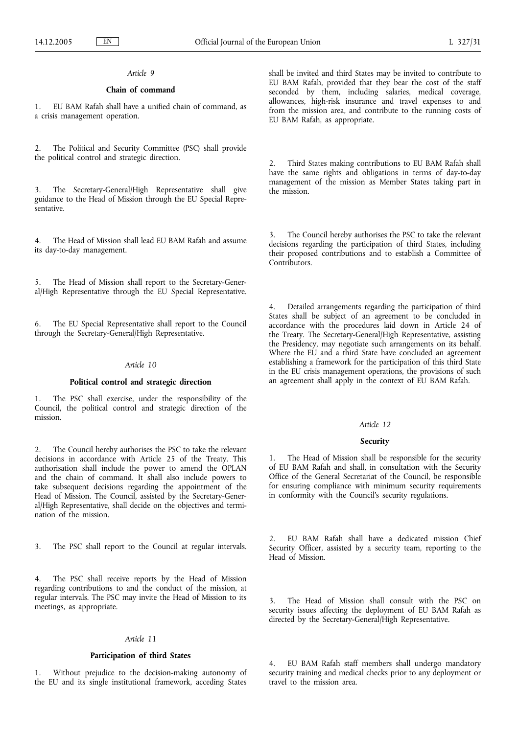## **Chain of command**

1. EU BAM Rafah shall have a unified chain of command, as a crisis management operation.

2. The Political and Security Committee (PSC) shall provide the political control and strategic direction.

3. The Secretary-General/High Representative shall give guidance to the Head of Mission through the EU Special Representative.

4. The Head of Mission shall lead EU BAM Rafah and assume its day-to-day management.

5. The Head of Mission shall report to the Secretary-General/High Representative through the EU Special Representative.

6. The EU Special Representative shall report to the Council through the Secretary-General/High Representative.

#### *Article 10*

#### **Political control and strategic direction**

The PSC shall exercise, under the responsibility of the Council, the political control and strategic direction of the mission.

The Council hereby authorises the PSC to take the relevant decisions in accordance with Article 25 of the Treaty. This authorisation shall include the power to amend the OPLAN and the chain of command. It shall also include powers to take subsequent decisions regarding the appointment of the Head of Mission. The Council, assisted by the Secretary-General/High Representative, shall decide on the objectives and termination of the mission.

3. The PSC shall report to the Council at regular intervals.

4. The PSC shall receive reports by the Head of Mission regarding contributions to and the conduct of the mission, at regular intervals. The PSC may invite the Head of Mission to its meetings, as appropriate.

#### *Article 11*

## **Participation of third States**

1. Without prejudice to the decision-making autonomy of the EU and its single institutional framework, acceding States shall be invited and third States may be invited to contribute to EU BAM Rafah, provided that they bear the cost of the staff seconded by them, including salaries, medical coverage, allowances, high-risk insurance and travel expenses to and from the mission area, and contribute to the running costs of EU BAM Rafah, as appropriate.

2. Third States making contributions to EU BAM Rafah shall have the same rights and obligations in terms of day-to-day management of the mission as Member States taking part in the mission.

3. The Council hereby authorises the PSC to take the relevant decisions regarding the participation of third States, including their proposed contributions and to establish a Committee of Contributors.

4. Detailed arrangements regarding the participation of third States shall be subject of an agreement to be concluded in accordance with the procedures laid down in Article 24 of the Treaty. The Secretary-General/High Representative, assisting the Presidency, may negotiate such arrangements on its behalf. Where the EU and a third State have concluded an agreement establishing a framework for the participation of this third State in the EU crisis management operations, the provisions of such an agreement shall apply in the context of EU BAM Rafah.

#### *Article 12*

#### **Security**

1. The Head of Mission shall be responsible for the security of EU BAM Rafah and shall, in consultation with the Security Office of the General Secretariat of the Council, be responsible for ensuring compliance with minimum security requirements in conformity with the Council's security regulations.

2. EU BAM Rafah shall have a dedicated mission Chief Security Officer, assisted by a security team, reporting to the Head of Mission.

The Head of Mission shall consult with the PSC on security issues affecting the deployment of EU BAM Rafah as directed by the Secretary-General/High Representative.

4. EU BAM Rafah staff members shall undergo mandatory security training and medical checks prior to any deployment or travel to the mission area.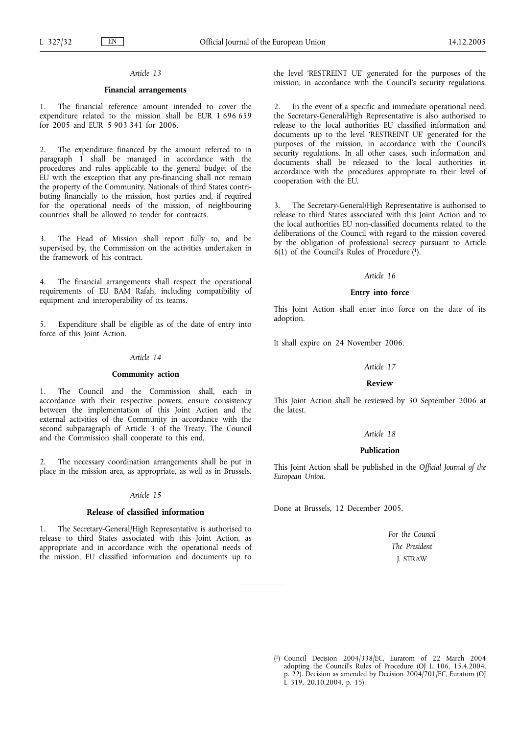#### **Financial arrangements**

The financial reference amount intended to cover the expenditure related to the mission shall be EUR 1 696 659 for 2005 and EUR 5 903 341 for 2006.

2. The expenditure financed by the amount referred to in paragraph 1 shall be managed in accordance with the procedures and rules applicable to the general budget of the EU with the exception that any pre-financing shall not remain the property of the Community. Nationals of third States contributing financially to the mission, host parties and, if required for the operational needs of the mission, of neighbouring countries shall be allowed to tender for contracts.

The Head of Mission shall report fully to, and be supervised by, the Commission on the activities undertaken in the framework of his contract.

4. The financial arrangements shall respect the operational requirements of EU BAM Rafah, including compatibility of equipment and interoperability of its teams.

5. Expenditure shall be eligible as of the date of entry into force of this Joint Action.

#### *Article 14*

#### **Community action**

1. The Council and the Commission shall, each in accordance with their respective powers, ensure consistency between the implementation of this Joint Action and the external activities of the Community in accordance with the second subparagraph of Article 3 of the Treaty. The Council and the Commission shall cooperate to this end.

2. The necessary coordination arrangements shall be put in place in the mission area, as appropriate, as well as in Brussels.

#### *Article 15*

#### **Release of classified information**

1. The Secretary-General/High Representative is authorised to release to third States associated with this Joint Action, as appropriate and in accordance with the operational needs of the mission, EU classified information and documents up to

the level 'RESTREINT UE' generated for the purposes of the mission, in accordance with the Council's security regulations.

2. In the event of a specific and immediate operational need, the Secretary-General/High Representative is also authorised to release to the local authorities EU classified information and documents up to the level 'RESTREINT UE' generated for the purposes of the mission, in accordance with the Council's security regulations. In all other cases, such information and documents shall be released to the local authorities in accordance with the procedures appropriate to their level of cooperation with the EU.

3. The Secretary-General/High Representative is authorised to release to third States associated with this Joint Action and to the local authorities EU non-classified documents related to the deliberations of the Council with regard to the mission covered by the obligation of professional secrecy pursuant to Article  $6(1)$  of the Council's Rules of Procedure  $(1)$ .

#### *Article 16*

#### **Entry into force**

This Joint Action shall enter into force on the date of its adoption.

It shall expire on 24 November 2006.

#### *Article 17*

#### **Review**

This Joint Action shall be reviewed by 30 September 2006 at the latest.

## *Article 18*

#### **Publication**

This Joint Action shall be published in the *Official Journal of the European Union*.

Done at Brussels, 12 December 2005.

*For the Council The President* J. STRAW

<sup>(</sup> 1) Council Decision 2004/338/EC, Euratom of 22 March 2004 adopting the Council's Rules of Procedure (OJ L 106, 15.4.2004, p. 22). Decision as amended by Decision 2004/701/EC, Euratom (OJ L 319, 20.10.2004, p. 15).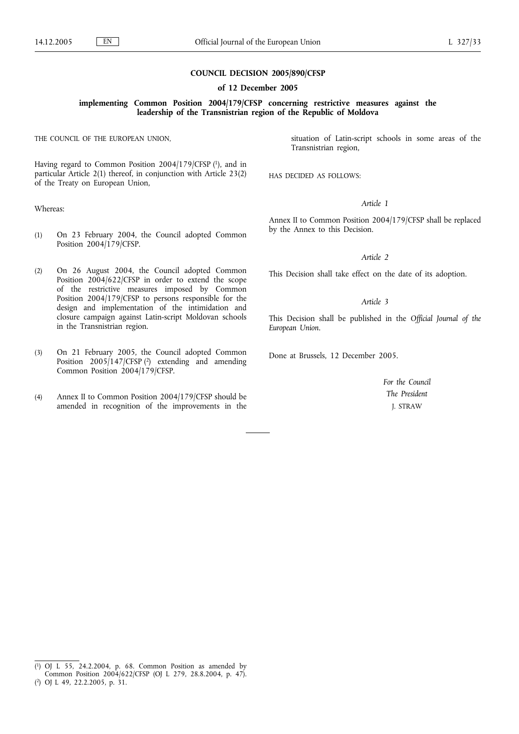#### **COUNCIL DECISION 2005/890/CFSP**

#### **of 12 December 2005**

#### **implementing Common Position 2004/179/CFSP concerning restrictive measures against the leadership of the Transnistrian region of the Republic of Moldova**

THE COUNCIL OF THE EUROPEAN UNION,

Having regard to Common Position 2004/179/CFSP (1), and in particular Article 2(1) thereof, in conjunction with Article 23(2) of the Treaty on European Union,

Whereas:

- (1) On 23 February 2004, the Council adopted Common Position 2004/179/CFSP.
- (2) On 26 August 2004, the Council adopted Common Position 2004/622/CFSP in order to extend the scope of the restrictive measures imposed by Common Position 2004/179/CFSP to persons responsible for the design and implementation of the intimidation and closure campaign against Latin-script Moldovan schools in the Transnistrian region.
- (3) On 21 February 2005, the Council adopted Common Position  $2005/147$  (CFSP  $(2)$ ) extending and amending Common Position 2004/179/CFSP.
- (4) Annex II to Common Position 2004/179/CFSP should be amended in recognition of the improvements in the

situation of Latin-script schools in some areas of the Transnistrian region,

HAS DECIDED AS FOLLOWS:

#### *Article 1*

Annex II to Common Position 2004/179/CFSP shall be replaced by the Annex to this Decision.

#### *Article 2*

This Decision shall take effect on the date of its adoption.

#### *Article 3*

This Decision shall be published in the *Official Journal of the European Union*.

Done at Brussels, 12 December 2005.

*For the Council The President* J. STRAW

 $(1)$ 1) OJ L 55, 24.2.2004, p. 68. Common Position as amended by Common Position 2004/622/CFSP (OJ L 279, 28.8.2004, p. 47).

<sup>(</sup> 2) OJ L 49, 22.2.2005, p. 31.